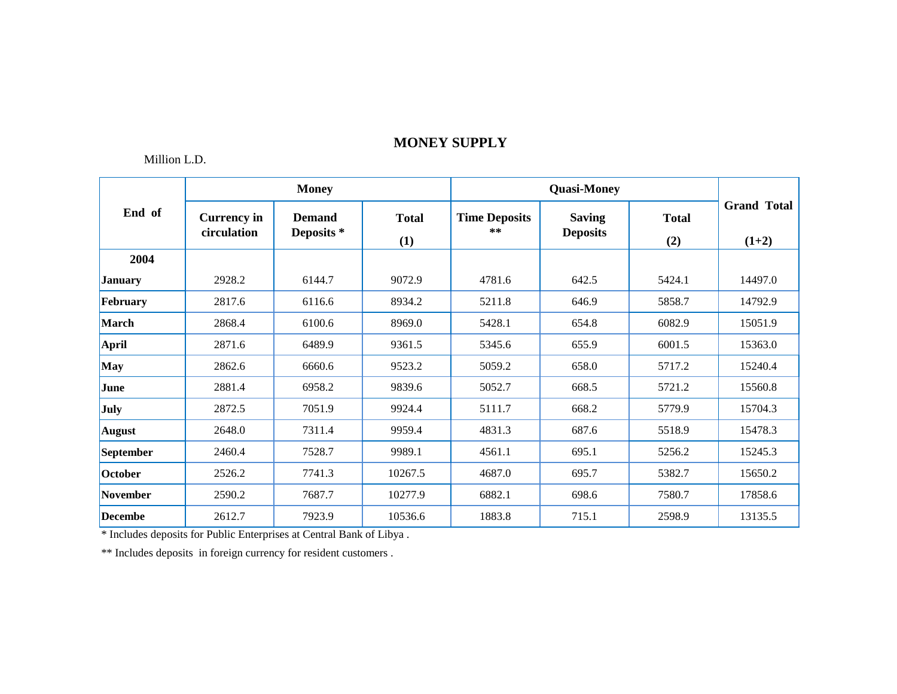### Million L.D.

|                 |                                   | <b>Money</b>                |                     |                              |                                  |                     |                               |
|-----------------|-----------------------------------|-----------------------------|---------------------|------------------------------|----------------------------------|---------------------|-------------------------------|
| End of          | <b>Currency in</b><br>circulation | <b>Demand</b><br>Deposits * | <b>Total</b><br>(1) | <b>Time Deposits</b><br>$**$ | <b>Saving</b><br><b>Deposits</b> | <b>Total</b><br>(2) | <b>Grand Total</b><br>$(1+2)$ |
| 2004            |                                   |                             |                     |                              |                                  |                     |                               |
| <b>January</b>  | 2928.2                            | 6144.7                      | 9072.9              | 4781.6                       | 642.5                            | 5424.1              | 14497.0                       |
| February        | 2817.6                            | 6116.6                      | 8934.2              | 5211.8                       | 646.9                            | 5858.7              | 14792.9                       |
| March           | 2868.4                            | 6100.6                      | 8969.0              | 5428.1                       | 654.8                            | 6082.9              | 15051.9                       |
| <b>April</b>    | 2871.6                            | 6489.9                      | 9361.5              | 5345.6                       | 655.9                            | 6001.5              | 15363.0                       |
| May             | 2862.6                            | 6660.6                      | 9523.2              | 5059.2                       | 658.0                            | 5717.2              | 15240.4                       |
| June            | 2881.4                            | 6958.2                      | 9839.6              | 5052.7                       | 668.5                            | 5721.2              | 15560.8                       |
| <b>July</b>     | 2872.5                            | 7051.9                      | 9924.4              | 5111.7                       | 668.2                            | 5779.9              | 15704.3                       |
| <b>August</b>   | 2648.0                            | 7311.4                      | 9959.4              | 4831.3                       | 687.6                            | 5518.9              | 15478.3                       |
| September       | 2460.4                            | 7528.7                      | 9989.1              | 4561.1                       | 695.1                            | 5256.2              | 15245.3                       |
| October         | 2526.2                            | 7741.3                      | 10267.5             | 4687.0                       | 695.7                            | 5382.7              | 15650.2                       |
| <b>November</b> | 2590.2                            | 7687.7                      | 10277.9             | 6882.1                       | 698.6                            | 7580.7              | 17858.6                       |
| <b>Decembe</b>  | 2612.7                            | 7923.9                      | 10536.6             | 1883.8                       | 715.1                            | 2598.9              | 13135.5                       |

\* Includes deposits for Public Enterprises at Central Bank of Libya .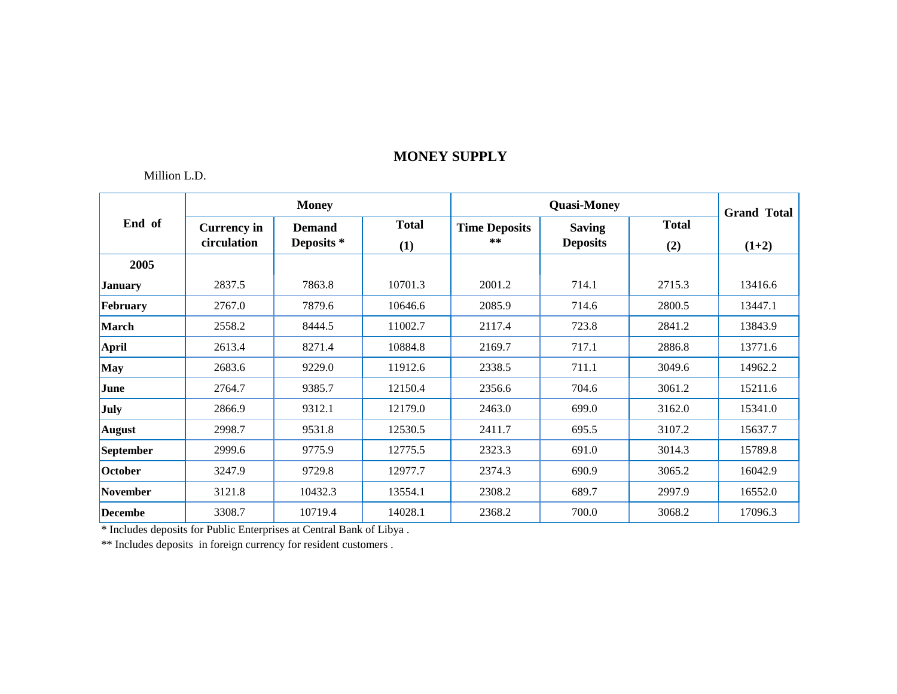### Million L.D.

|                  |                                   | <b>Money</b>                |                     |                            | <b>Grand Total</b>               |                     |         |
|------------------|-----------------------------------|-----------------------------|---------------------|----------------------------|----------------------------------|---------------------|---------|
| End of           | <b>Currency in</b><br>circulation | <b>Demand</b><br>Deposits * | <b>Total</b><br>(1) | <b>Time Deposits</b><br>** | <b>Saving</b><br><b>Deposits</b> | <b>Total</b><br>(2) | $(1+2)$ |
| 2005             |                                   |                             |                     |                            |                                  |                     |         |
| <b>January</b>   | 2837.5                            | 7863.8                      | 10701.3             | 2001.2                     | 714.1                            | 2715.3              | 13416.6 |
| February         | 2767.0                            | 7879.6                      | 10646.6             | 2085.9                     | 714.6                            | 2800.5              | 13447.1 |
| <b>March</b>     | 2558.2                            | 8444.5                      | 11002.7             | 2117.4                     | 723.8                            | 2841.2              | 13843.9 |
| <b>April</b>     | 2613.4                            | 8271.4                      | 10884.8             | 2169.7                     | 717.1                            | 2886.8              | 13771.6 |
| <b>May</b>       | 2683.6                            | 9229.0                      | 11912.6             | 2338.5                     | 711.1                            | 3049.6              | 14962.2 |
| June             | 2764.7                            | 9385.7                      | 12150.4             | 2356.6                     | 704.6                            | 3061.2              | 15211.6 |
| July             | 2866.9                            | 9312.1                      | 12179.0             | 2463.0                     | 699.0                            | 3162.0              | 15341.0 |
| <b>August</b>    | 2998.7                            | 9531.8                      | 12530.5             | 2411.7                     | 695.5                            | 3107.2              | 15637.7 |
| <b>September</b> | 2999.6                            | 9775.9                      | 12775.5             | 2323.3                     | 691.0                            | 3014.3              | 15789.8 |
| October          | 3247.9                            | 9729.8                      | 12977.7             | 2374.3                     | 690.9                            | 3065.2              | 16042.9 |
| <b>November</b>  | 3121.8                            | 10432.3                     | 13554.1             | 2308.2                     | 689.7                            | 2997.9              | 16552.0 |
| <b>Decembe</b>   | 3308.7                            | 10719.4                     | 14028.1             | 2368.2                     | 700.0                            | 3068.2              | 17096.3 |

\* Includes deposits for Public Enterprises at Central Bank of Libya .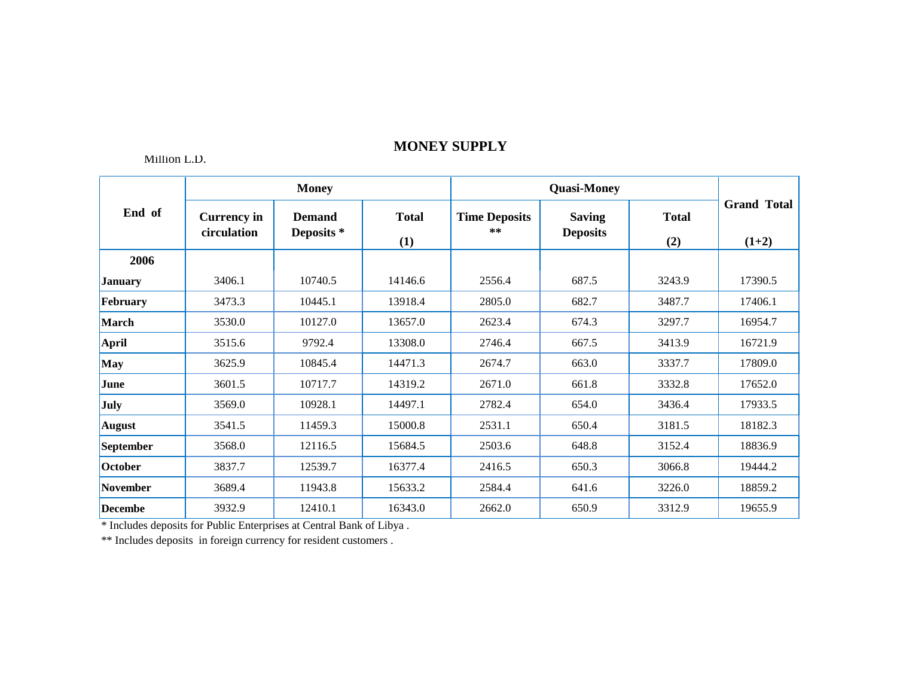### Million L.D.

|                  |                                   | <b>Money</b>                |                     |                               | <b>Quasi-Money</b>               |                     |                               |  |
|------------------|-----------------------------------|-----------------------------|---------------------|-------------------------------|----------------------------------|---------------------|-------------------------------|--|
| End of           | <b>Currency in</b><br>circulation | <b>Demand</b><br>Deposits * | <b>Total</b><br>(1) | <b>Time Deposits</b><br>$***$ | <b>Saving</b><br><b>Deposits</b> | <b>Total</b><br>(2) | <b>Grand Total</b><br>$(1+2)$ |  |
| 2006             |                                   |                             |                     |                               |                                  |                     |                               |  |
| <b>January</b>   | 3406.1                            | 10740.5                     | 14146.6             | 2556.4                        | 687.5                            | 3243.9              | 17390.5                       |  |
| February         | 3473.3                            | 10445.1                     | 13918.4             | 2805.0                        | 682.7                            | 3487.7              | 17406.1                       |  |
| <b>March</b>     | 3530.0                            | 10127.0                     | 13657.0             | 2623.4                        | 674.3                            | 3297.7              | 16954.7                       |  |
| <b>April</b>     | 3515.6                            | 9792.4                      | 13308.0             | 2746.4                        | 667.5                            | 3413.9              | 16721.9                       |  |
| <b>May</b>       | 3625.9                            | 10845.4                     | 14471.3             | 2674.7                        | 663.0                            | 3337.7              | 17809.0                       |  |
| June             | 3601.5                            | 10717.7                     | 14319.2             | 2671.0                        | 661.8                            | 3332.8              | 17652.0                       |  |
| <b>July</b>      | 3569.0                            | 10928.1                     | 14497.1             | 2782.4                        | 654.0                            | 3436.4              | 17933.5                       |  |
| <b>August</b>    | 3541.5                            | 11459.3                     | 15000.8             | 2531.1                        | 650.4                            | 3181.5              | 18182.3                       |  |
| <b>September</b> | 3568.0                            | 12116.5                     | 15684.5             | 2503.6                        | 648.8                            | 3152.4              | 18836.9                       |  |
| October          | 3837.7                            | 12539.7                     | 16377.4             | 2416.5                        | 650.3                            | 3066.8              | 19444.2                       |  |
| <b>November</b>  | 3689.4                            | 11943.8                     | 15633.2             | 2584.4                        | 641.6                            | 3226.0              | 18859.2                       |  |
| <b>Decembe</b>   | 3932.9                            | 12410.1                     | 16343.0             | 2662.0                        | 650.9                            | 3312.9              | 19655.9                       |  |

\* Includes deposits for Public Enterprises at Central Bank of Libya .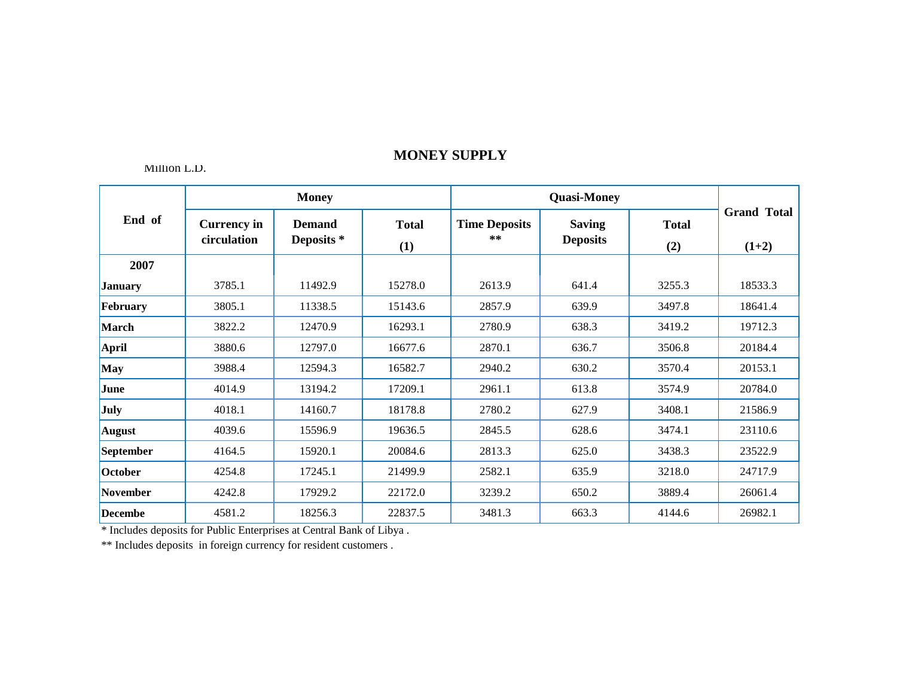#### Million L.D.

|                 |                                   | <b>Money</b>                |                     |                               |                                  |                     |                               |
|-----------------|-----------------------------------|-----------------------------|---------------------|-------------------------------|----------------------------------|---------------------|-------------------------------|
| End of          | <b>Currency in</b><br>circulation | <b>Demand</b><br>Deposits * | <b>Total</b><br>(1) | <b>Time Deposits</b><br>$***$ | <b>Saving</b><br><b>Deposits</b> | <b>Total</b><br>(2) | <b>Grand Total</b><br>$(1+2)$ |
| 2007            |                                   |                             |                     |                               |                                  |                     |                               |
| <b>January</b>  | 3785.1                            | 11492.9                     | 15278.0             | 2613.9                        | 641.4                            | 3255.3              | 18533.3                       |
| February        | 3805.1                            | 11338.5                     | 15143.6             | 2857.9                        | 639.9                            | 3497.8              | 18641.4                       |
| <b>March</b>    | 3822.2                            | 12470.9                     | 16293.1             | 2780.9                        | 638.3                            | 3419.2              | 19712.3                       |
| April           | 3880.6                            | 12797.0                     | 16677.6             | 2870.1                        | 636.7                            | 3506.8              | 20184.4                       |
| <b>May</b>      | 3988.4                            | 12594.3                     | 16582.7             | 2940.2                        | 630.2                            | 3570.4              | 20153.1                       |
| June            | 4014.9                            | 13194.2                     | 17209.1             | 2961.1                        | 613.8                            | 3574.9              | 20784.0                       |
| <b>July</b>     | 4018.1                            | 14160.7                     | 18178.8             | 2780.2                        | 627.9                            | 3408.1              | 21586.9                       |
| <b>August</b>   | 4039.6                            | 15596.9                     | 19636.5             | 2845.5                        | 628.6                            | 3474.1              | 23110.6                       |
| September       | 4164.5                            | 15920.1                     | 20084.6             | 2813.3                        | 625.0                            | 3438.3              | 23522.9                       |
| October         | 4254.8                            | 17245.1                     | 21499.9             | 2582.1                        | 635.9                            | 3218.0              | 24717.9                       |
| <b>November</b> | 4242.8                            | 17929.2                     | 22172.0             | 3239.2                        | 650.2                            | 3889.4              | 26061.4                       |
| <b>Decembe</b>  | 4581.2                            | 18256.3                     | 22837.5             | 3481.3                        | 663.3                            | 4144.6              | 26982.1                       |

\* Includes deposits for Public Enterprises at Central Bank of Libya .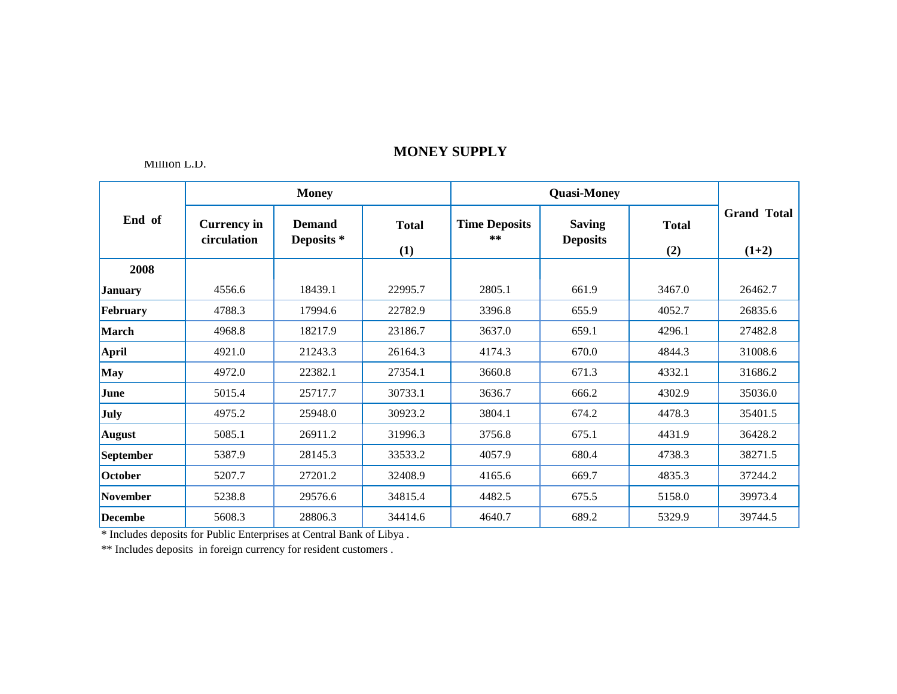### Million L.D.

|                 |                                   | <b>Money</b>                |                     |                               |                                  |                     |                               |
|-----------------|-----------------------------------|-----------------------------|---------------------|-------------------------------|----------------------------------|---------------------|-------------------------------|
| End of          | <b>Currency in</b><br>circulation | <b>Demand</b><br>Deposits * | <b>Total</b><br>(1) | <b>Time Deposits</b><br>$***$ | <b>Saving</b><br><b>Deposits</b> | <b>Total</b><br>(2) | <b>Grand Total</b><br>$(1+2)$ |
| 2008            |                                   |                             |                     |                               |                                  |                     |                               |
| <b>January</b>  | 4556.6                            | 18439.1                     | 22995.7             | 2805.1                        | 661.9                            | 3467.0              | 26462.7                       |
| February        | 4788.3                            | 17994.6                     | 22782.9             | 3396.8                        | 655.9                            | 4052.7              | 26835.6                       |
| March           | 4968.8                            | 18217.9                     | 23186.7             | 3637.0                        | 659.1                            | 4296.1              | 27482.8                       |
| <b>April</b>    | 4921.0                            | 21243.3                     | 26164.3             | 4174.3                        | 670.0                            | 4844.3              | 31008.6                       |
| <b>May</b>      | 4972.0                            | 22382.1                     | 27354.1             | 3660.8                        | 671.3                            | 4332.1              | 31686.2                       |
| June            | 5015.4                            | 25717.7                     | 30733.1             | 3636.7                        | 666.2                            | 4302.9              | 35036.0                       |
| <b>July</b>     | 4975.2                            | 25948.0                     | 30923.2             | 3804.1                        | 674.2                            | 4478.3              | 35401.5                       |
| August          | 5085.1                            | 26911.2                     | 31996.3             | 3756.8                        | 675.1                            | 4431.9              | 36428.2                       |
| September       | 5387.9                            | 28145.3                     | 33533.2             | 4057.9                        | 680.4                            | 4738.3              | 38271.5                       |
| October         | 5207.7                            | 27201.2                     | 32408.9             | 4165.6                        | 669.7                            | 4835.3              | 37244.2                       |
| <b>November</b> | 5238.8                            | 29576.6                     | 34815.4             | 4482.5                        | 675.5                            | 5158.0              | 39973.4                       |
| <b>Decembe</b>  | 5608.3                            | 28806.3                     | 34414.6             | 4640.7                        | 689.2                            | 5329.9              | 39744.5                       |

\* Includes deposits for Public Enterprises at Central Bank of Libya .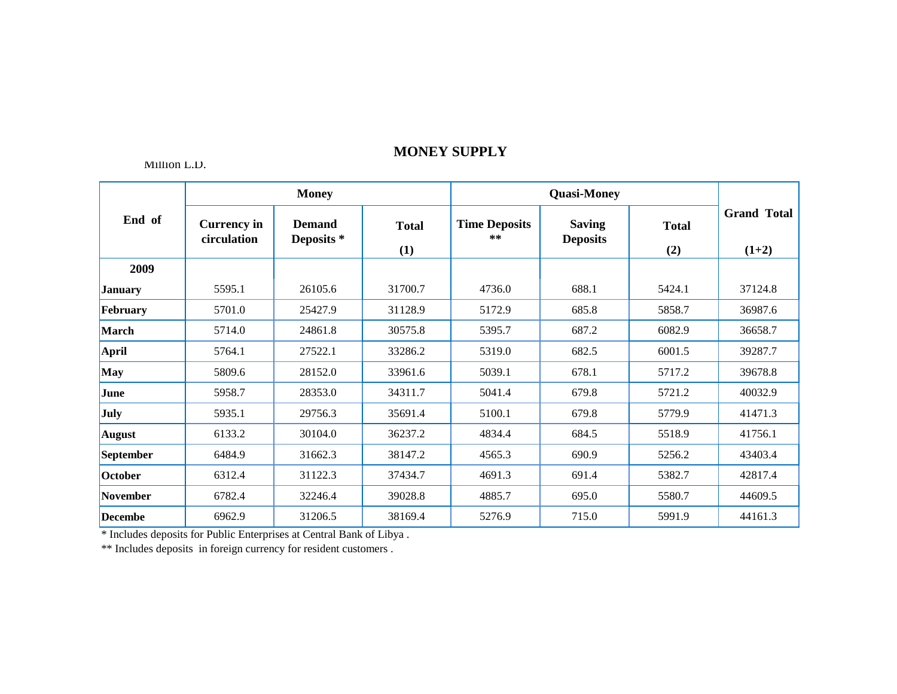#### Million L.D.

|                |                                   | <b>Money</b>                |                     |                               |                                  |                     |                               |
|----------------|-----------------------------------|-----------------------------|---------------------|-------------------------------|----------------------------------|---------------------|-------------------------------|
| End of         | <b>Currency in</b><br>circulation | <b>Demand</b><br>Deposits * | <b>Total</b><br>(1) | <b>Time Deposits</b><br>$***$ | <b>Saving</b><br><b>Deposits</b> | <b>Total</b><br>(2) | <b>Grand Total</b><br>$(1+2)$ |
| 2009           |                                   |                             |                     |                               |                                  |                     |                               |
| <b>January</b> | 5595.1                            | 26105.6                     | 31700.7             | 4736.0                        | 688.1                            | 5424.1              | 37124.8                       |
| February       | 5701.0                            | 25427.9                     | 31128.9             | 5172.9                        | 685.8                            | 5858.7              | 36987.6                       |
| March          | 5714.0                            | 24861.8                     | 30575.8             | 5395.7                        | 687.2                            | 6082.9              | 36658.7                       |
| <b>April</b>   | 5764.1                            | 27522.1                     | 33286.2             | 5319.0                        | 682.5                            | 6001.5              | 39287.7                       |
| May            | 5809.6                            | 28152.0                     | 33961.6             | 5039.1                        | 678.1                            | 5717.2              | 39678.8                       |
| June           | 5958.7                            | 28353.0                     | 34311.7             | 5041.4                        | 679.8                            | 5721.2              | 40032.9                       |
| July           | 5935.1                            | 29756.3                     | 35691.4             | 5100.1                        | 679.8                            | 5779.9              | 41471.3                       |
| <b>August</b>  | 6133.2                            | 30104.0                     | 36237.2             | 4834.4                        | 684.5                            | 5518.9              | 41756.1                       |
| September      | 6484.9                            | 31662.3                     | 38147.2             | 4565.3                        | 690.9                            | 5256.2              | 43403.4                       |
| October        | 6312.4                            | 31122.3                     | 37434.7             | 4691.3                        | 691.4                            | 5382.7              | 42817.4                       |
| November       | 6782.4                            | 32246.4                     | 39028.8             | 4885.7                        | 695.0                            | 5580.7              | 44609.5                       |
| <b>Decembe</b> | 6962.9                            | 31206.5                     | 38169.4             | 5276.9                        | 715.0                            | 5991.9              | 44161.3                       |

\* Includes deposits for Public Enterprises at Central Bank of Libya .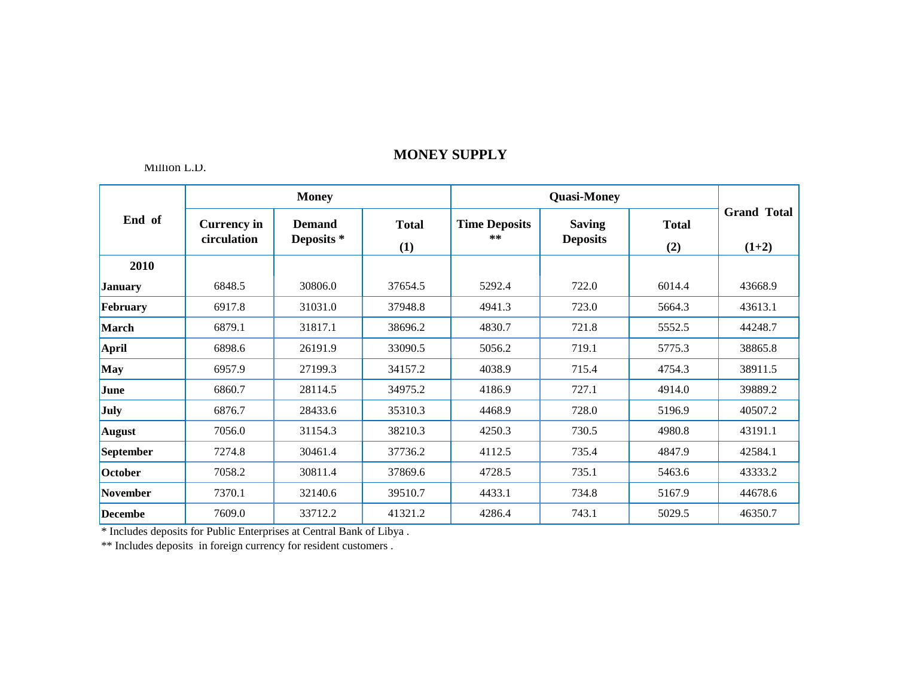Million L.D.

|                  |                                   | <b>Money</b>                |                     |                            |                                  |                     |                               |
|------------------|-----------------------------------|-----------------------------|---------------------|----------------------------|----------------------------------|---------------------|-------------------------------|
| End of           | <b>Currency in</b><br>circulation | <b>Demand</b><br>Deposits * | <b>Total</b><br>(1) | <b>Time Deposits</b><br>** | <b>Saving</b><br><b>Deposits</b> | <b>Total</b><br>(2) | <b>Grand Total</b><br>$(1+2)$ |
| 2010             |                                   |                             |                     |                            |                                  |                     |                               |
| <b>January</b>   | 6848.5                            | 30806.0                     | 37654.5             | 5292.4                     | 722.0                            | 6014.4              | 43668.9                       |
| February         | 6917.8                            | 31031.0                     | 37948.8             | 4941.3                     | 723.0                            | 5664.3              | 43613.1                       |
| <b>March</b>     | 6879.1                            | 31817.1                     | 38696.2             | 4830.7                     | 721.8                            | 5552.5              | 44248.7                       |
| <b>April</b>     | 6898.6                            | 26191.9                     | 33090.5             | 5056.2                     | 719.1                            | 5775.3              | 38865.8                       |
| May              | 6957.9                            | 27199.3                     | 34157.2             | 4038.9                     | 715.4                            | 4754.3              | 38911.5                       |
| June             | 6860.7                            | 28114.5                     | 34975.2             | 4186.9                     | 727.1                            | 4914.0              | 39889.2                       |
| <b>July</b>      | 6876.7                            | 28433.6                     | 35310.3             | 4468.9                     | 728.0                            | 5196.9              | 40507.2                       |
| <b>August</b>    | 7056.0                            | 31154.3                     | 38210.3             | 4250.3                     | 730.5                            | 4980.8              | 43191.1                       |
| <b>September</b> | 7274.8                            | 30461.4                     | 37736.2             | 4112.5                     | 735.4                            | 4847.9              | 42584.1                       |
| <b>October</b>   | 7058.2                            | 30811.4                     | 37869.6             | 4728.5                     | 735.1                            | 5463.6              | 43333.2                       |
| <b>November</b>  | 7370.1                            | 32140.6                     | 39510.7             | 4433.1                     | 734.8                            | 5167.9              | 44678.6                       |
| <b>Decembe</b>   | 7609.0                            | 33712.2                     | 41321.2             | 4286.4                     | 743.1                            | 5029.5              | 46350.7                       |

\* Includes deposits for Public Enterprises at Central Bank of Libya .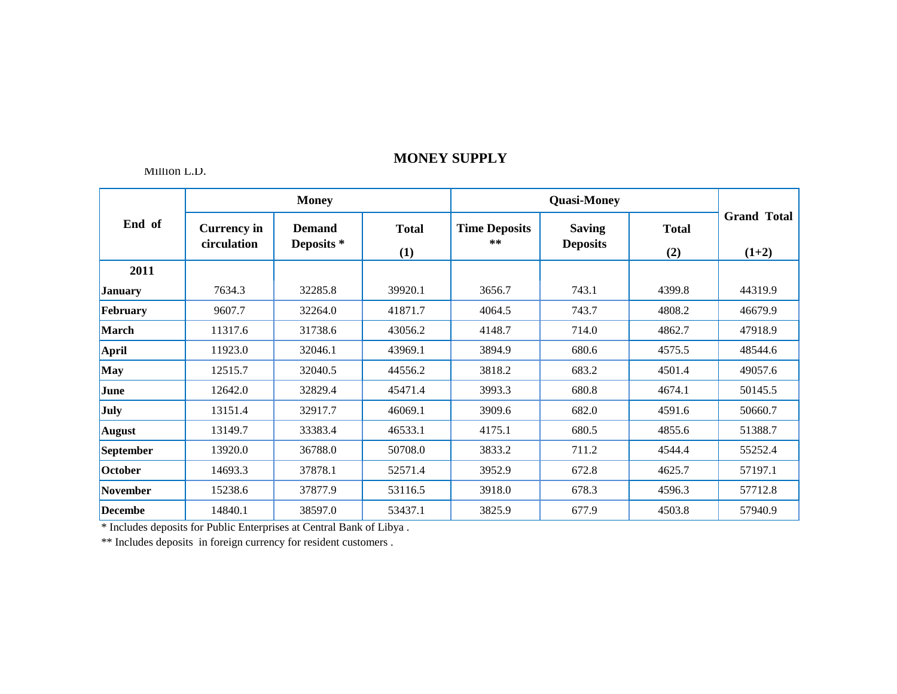#### Million L.D.

|                  |                                   | <b>Money</b>                           |                     |                            |                                  |                     |                               |
|------------------|-----------------------------------|----------------------------------------|---------------------|----------------------------|----------------------------------|---------------------|-------------------------------|
| End of           | <b>Currency in</b><br>circulation | <b>Demand</b><br>Deposits <sup>*</sup> | <b>Total</b><br>(1) | <b>Time Deposits</b><br>** | <b>Saving</b><br><b>Deposits</b> | <b>Total</b><br>(2) | <b>Grand Total</b><br>$(1+2)$ |
| 2011             |                                   |                                        |                     |                            |                                  |                     |                               |
| <b>January</b>   | 7634.3                            | 32285.8                                | 39920.1             | 3656.7                     | 743.1                            | 4399.8              | 44319.9                       |
| February         | 9607.7                            | 32264.0                                | 41871.7             | 4064.5                     | 743.7                            | 4808.2              | 46679.9                       |
| <b>March</b>     | 11317.6                           | 31738.6                                | 43056.2             | 4148.7                     | 714.0                            | 4862.7              | 47918.9                       |
| April            | 11923.0                           | 32046.1                                | 43969.1             | 3894.9                     | 680.6                            | 4575.5              | 48544.6                       |
| <b>May</b>       | 12515.7                           | 32040.5                                | 44556.2             | 3818.2                     | 683.2                            | 4501.4              | 49057.6                       |
| June             | 12642.0                           | 32829.4                                | 45471.4             | 3993.3                     | 680.8                            | 4674.1              | 50145.5                       |
| July             | 13151.4                           | 32917.7                                | 46069.1             | 3909.6                     | 682.0                            | 4591.6              | 50660.7                       |
| <b>August</b>    | 13149.7                           | 33383.4                                | 46533.1             | 4175.1                     | 680.5                            | 4855.6              | 51388.7                       |
| <b>September</b> | 13920.0                           | 36788.0                                | 50708.0             | 3833.2                     | 711.2                            | 4544.4              | 55252.4                       |
| October          | 14693.3                           | 37878.1                                | 52571.4             | 3952.9                     | 672.8                            | 4625.7              | 57197.1                       |
| <b>November</b>  | 15238.6                           | 37877.9                                | 53116.5             | 3918.0                     | 678.3                            | 4596.3              | 57712.8                       |
| <b>Decembe</b>   | 14840.1                           | 38597.0                                | 53437.1             | 3825.9                     | 677.9                            | 4503.8              | 57940.9                       |

\* Includes deposits for Public Enterprises at Central Bank of Libya .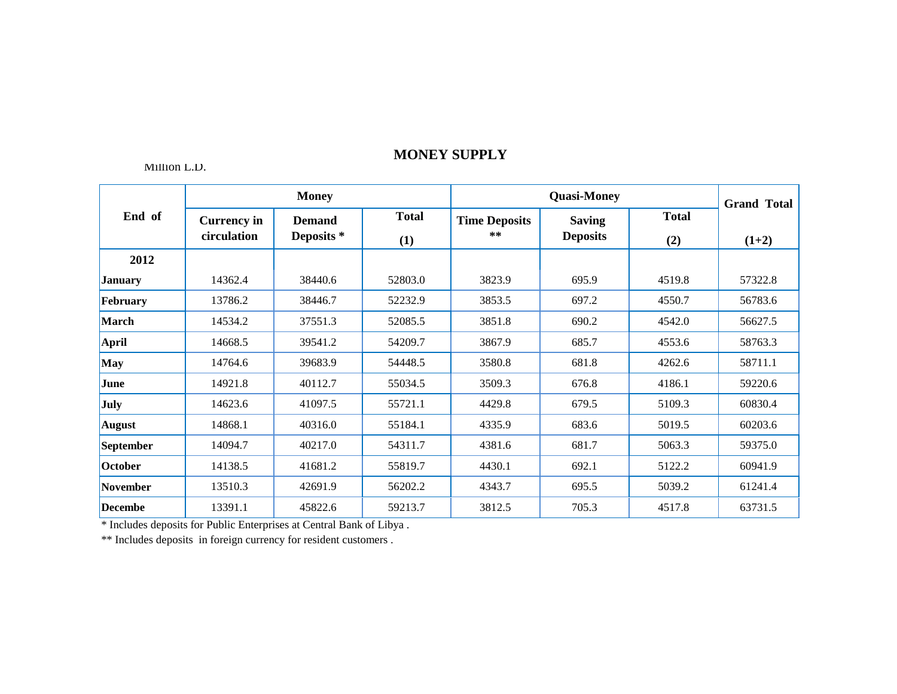Million L.D.

|                 |                                   | <b>Money</b>                |                     |                               | <b>Grand Total</b>               |                     |         |
|-----------------|-----------------------------------|-----------------------------|---------------------|-------------------------------|----------------------------------|---------------------|---------|
| End of          | <b>Currency in</b><br>circulation | <b>Demand</b><br>Deposits * | <b>Total</b><br>(1) | <b>Time Deposits</b><br>$***$ | <b>Saving</b><br><b>Deposits</b> | <b>Total</b><br>(2) | $(1+2)$ |
| 2012            |                                   |                             |                     |                               |                                  |                     |         |
| <b>January</b>  | 14362.4                           | 38440.6                     | 52803.0             | 3823.9                        | 695.9                            | 4519.8              | 57322.8 |
| February        | 13786.2                           | 38446.7                     | 52232.9             | 3853.5                        | 697.2                            | 4550.7              | 56783.6 |
| March           | 14534.2                           | 37551.3                     | 52085.5             | 3851.8                        | 690.2                            | 4542.0              | 56627.5 |
| April           | 14668.5                           | 39541.2                     | 54209.7             | 3867.9                        | 685.7                            | 4553.6              | 58763.3 |
| May             | 14764.6                           | 39683.9                     | 54448.5             | 3580.8                        | 681.8                            | 4262.6              | 58711.1 |
| June            | 14921.8                           | 40112.7                     | 55034.5             | 3509.3                        | 676.8                            | 4186.1              | 59220.6 |
| <b>July</b>     | 14623.6                           | 41097.5                     | 55721.1             | 4429.8                        | 679.5                            | 5109.3              | 60830.4 |
| <b>August</b>   | 14868.1                           | 40316.0                     | 55184.1             | 4335.9                        | 683.6                            | 5019.5              | 60203.6 |
| September       | 14094.7                           | 40217.0                     | 54311.7             | 4381.6                        | 681.7                            | 5063.3              | 59375.0 |
| October         | 14138.5                           | 41681.2                     | 55819.7             | 4430.1                        | 692.1                            | 5122.2              | 60941.9 |
| <b>November</b> | 13510.3                           | 42691.9                     | 56202.2             | 4343.7                        | 695.5                            | 5039.2              | 61241.4 |
| <b>Decembe</b>  | 13391.1                           | 45822.6                     | 59213.7             | 3812.5                        | 705.3                            | 4517.8              | 63731.5 |

\* Includes deposits for Public Enterprises at Central Bank of Libya .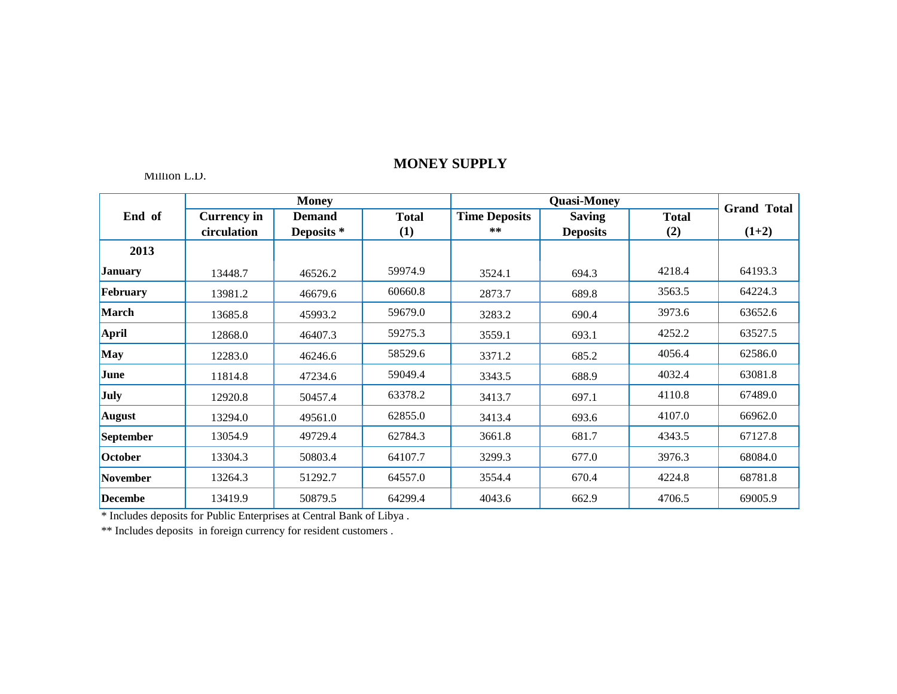### Million L.D.

|                 |                    | <b>Money</b>  |              |                      | <b>Quasi-Money</b> |              | <b>Grand Total</b> |
|-----------------|--------------------|---------------|--------------|----------------------|--------------------|--------------|--------------------|
| End of          | <b>Currency in</b> | <b>Demand</b> | <b>Total</b> | <b>Time Deposits</b> | <b>Saving</b>      | <b>Total</b> |                    |
|                 | circulation        | Deposits *    | (1)          | **                   | <b>Deposits</b>    | (2)          | $(1+2)$            |
| 2013            |                    |               |              |                      |                    |              |                    |
| <b>January</b>  | 13448.7            | 46526.2       | 59974.9      | 3524.1               | 694.3              | 4218.4       | 64193.3            |
| February        | 13981.2            | 46679.6       | 60660.8      | 2873.7               | 689.8              | 3563.5       | 64224.3            |
| March           | 13685.8            | 45993.2       | 59679.0      | 3283.2               | 690.4              | 3973.6       | 63652.6            |
| April           | 12868.0            | 46407.3       | 59275.3      | 3559.1               | 693.1              | 4252.2       | 63527.5            |
| May             | 12283.0            | 46246.6       | 58529.6      | 3371.2               | 685.2              | 4056.4       | 62586.0            |
| June            | 11814.8            | 47234.6       | 59049.4      | 3343.5               | 688.9              | 4032.4       | 63081.8            |
| July            | 12920.8            | 50457.4       | 63378.2      | 3413.7               | 697.1              | 4110.8       | 67489.0            |
| <b>August</b>   | 13294.0            | 49561.0       | 62855.0      | 3413.4               | 693.6              | 4107.0       | 66962.0            |
| September       | 13054.9            | 49729.4       | 62784.3      | 3661.8               | 681.7              | 4343.5       | 67127.8            |
| October         | 13304.3            | 50803.4       | 64107.7      | 3299.3               | 677.0              | 3976.3       | 68084.0            |
| <b>November</b> | 13264.3            | 51292.7       | 64557.0      | 3554.4               | 670.4              | 4224.8       | 68781.8            |
| <b>Decembe</b>  | 13419.9            | 50879.5       | 64299.4      | 4043.6               | 662.9              | 4706.5       | 69005.9            |

\* Includes deposits for Public Enterprises at Central Bank of Libya .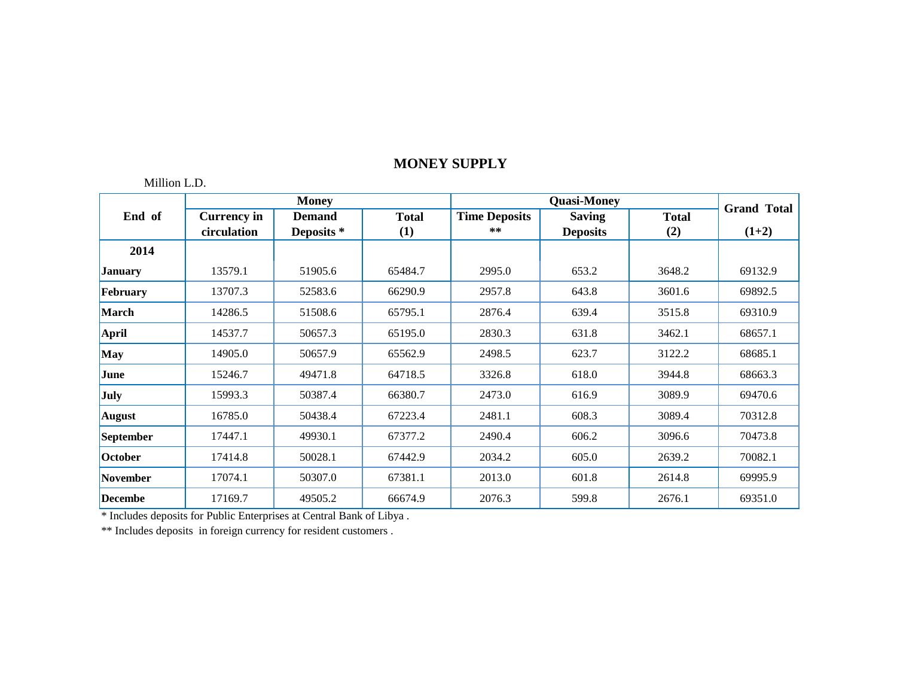### Million L.D.

|                 | <b>Money</b>       |               |              |                      | <b>Grand Total</b> |              |         |
|-----------------|--------------------|---------------|--------------|----------------------|--------------------|--------------|---------|
| End of          | <b>Currency in</b> | <b>Demand</b> | <b>Total</b> | <b>Time Deposits</b> | <b>Saving</b>      | <b>Total</b> |         |
|                 | circulation        | Deposits *    | (1)          | **                   | <b>Deposits</b>    | (2)          | $(1+2)$ |
| 2014            |                    |               |              |                      |                    |              |         |
| <b>January</b>  | 13579.1            | 51905.6       | 65484.7      | 2995.0               | 653.2              | 3648.2       | 69132.9 |
| February        | 13707.3            | 52583.6       | 66290.9      | 2957.8               | 643.8              | 3601.6       | 69892.5 |
| March           | 14286.5            | 51508.6       | 65795.1      | 2876.4               | 639.4              | 3515.8       | 69310.9 |
| April           | 14537.7            | 50657.3       | 65195.0      | 2830.3               | 631.8              | 3462.1       | 68657.1 |
| May             | 14905.0            | 50657.9       | 65562.9      | 2498.5               | 623.7              | 3122.2       | 68685.1 |
| June            | 15246.7            | 49471.8       | 64718.5      | 3326.8               | 618.0              | 3944.8       | 68663.3 |
| <b>July</b>     | 15993.3            | 50387.4       | 66380.7      | 2473.0               | 616.9              | 3089.9       | 69470.6 |
| August          | 16785.0            | 50438.4       | 67223.4      | 2481.1               | 608.3              | 3089.4       | 70312.8 |
| September       | 17447.1            | 49930.1       | 67377.2      | 2490.4               | 606.2              | 3096.6       | 70473.8 |
| October         | 17414.8            | 50028.1       | 67442.9      | 2034.2               | 605.0              | 2639.2       | 70082.1 |
| <b>November</b> | 17074.1            | 50307.0       | 67381.1      | 2013.0               | 601.8              | 2614.8       | 69995.9 |
| <b>Decembe</b>  | 17169.7            | 49505.2       | 66674.9      | 2076.3               | 599.8              | 2676.1       | 69351.0 |

\* Includes deposits for Public Enterprises at Central Bank of Libya .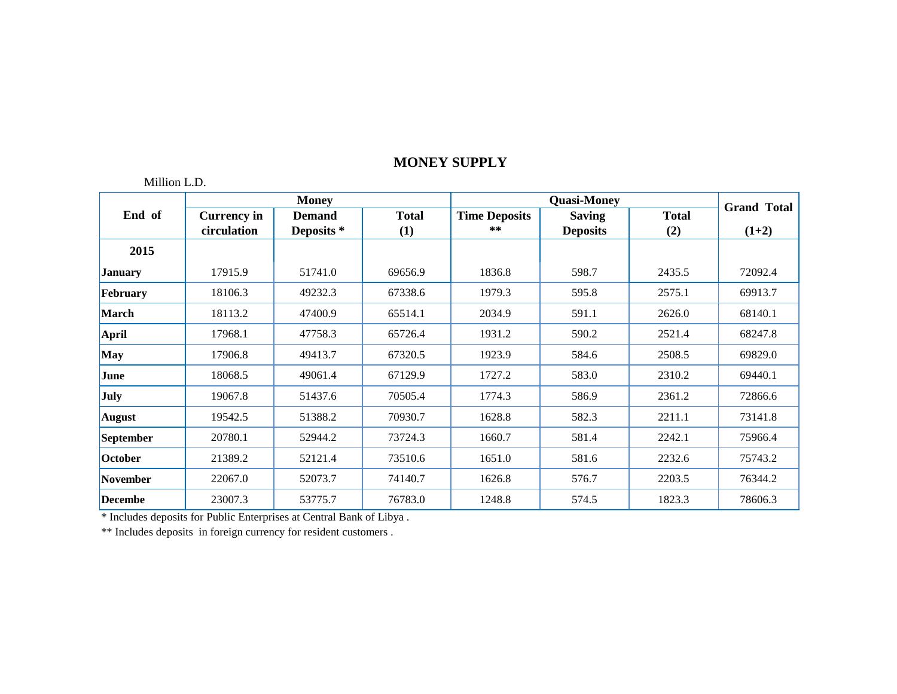### Million L.D.

|                 |                    | <b>Money</b>  |              |                      | <b>Quasi-Money</b> |              | <b>Grand Total</b> |
|-----------------|--------------------|---------------|--------------|----------------------|--------------------|--------------|--------------------|
| End of          | <b>Currency in</b> | <b>Demand</b> | <b>Total</b> | <b>Time Deposits</b> | <b>Saving</b>      | <b>Total</b> |                    |
|                 | circulation        | Deposits *    | (1)          | **                   | <b>Deposits</b>    | (2)          | $(1+2)$            |
| 2015            |                    |               |              |                      |                    |              |                    |
| <b>January</b>  | 17915.9            | 51741.0       | 69656.9      | 1836.8               | 598.7              | 2435.5       | 72092.4            |
| February        | 18106.3            | 49232.3       | 67338.6      | 1979.3               | 595.8              | 2575.1       | 69913.7            |
| March           | 18113.2            | 47400.9       | 65514.1      | 2034.9               | 591.1              | 2626.0       | 68140.1            |
| <b>April</b>    | 17968.1            | 47758.3       | 65726.4      | 1931.2               | 590.2              | 2521.4       | 68247.8            |
| May             | 17906.8            | 49413.7       | 67320.5      | 1923.9               | 584.6              | 2508.5       | 69829.0            |
| June            | 18068.5            | 49061.4       | 67129.9      | 1727.2               | 583.0              | 2310.2       | 69440.1            |
| <b>July</b>     | 19067.8            | 51437.6       | 70505.4      | 1774.3               | 586.9              | 2361.2       | 72866.6            |
| <b>August</b>   | 19542.5            | 51388.2       | 70930.7      | 1628.8               | 582.3              | 2211.1       | 73141.8            |
| September       | 20780.1            | 52944.2       | 73724.3      | 1660.7               | 581.4              | 2242.1       | 75966.4            |
| October         | 21389.2            | 52121.4       | 73510.6      | 1651.0               | 581.6              | 2232.6       | 75743.2            |
| <b>November</b> | 22067.0            | 52073.7       | 74140.7      | 1626.8               | 576.7              | 2203.5       | 76344.2            |
| <b>Decembe</b>  | 23007.3            | 53775.7       | 76783.0      | 1248.8               | 574.5              | 1823.3       | 78606.3            |

\* Includes deposits for Public Enterprises at Central Bank of Libya .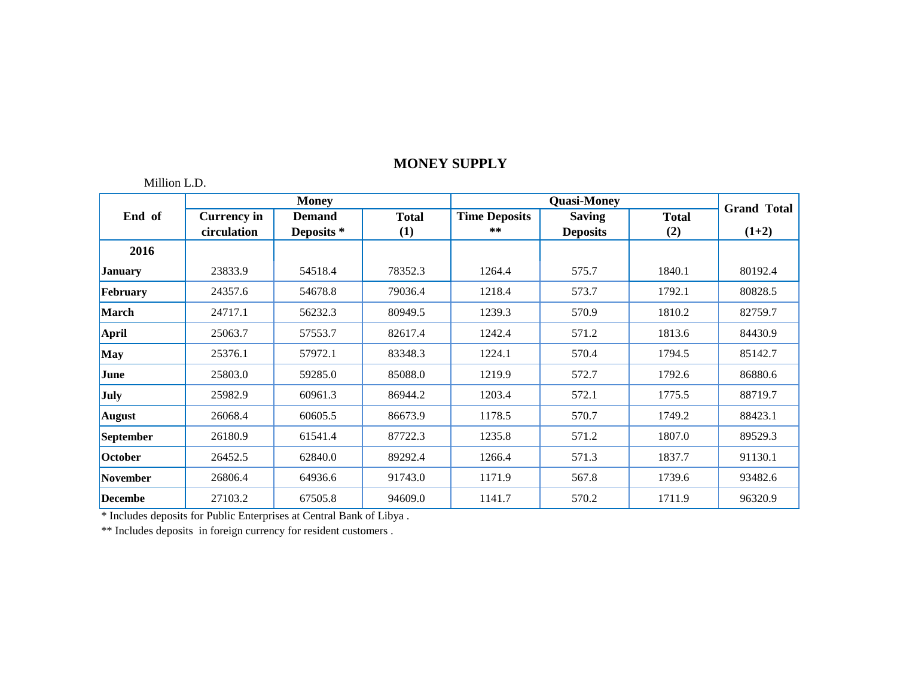### Million L.D.

|                 |                    | <b>Money</b>  |              |                      | <b>Quasi-Money</b> |              | <b>Grand Total</b> |
|-----------------|--------------------|---------------|--------------|----------------------|--------------------|--------------|--------------------|
| End of          | <b>Currency in</b> | <b>Demand</b> | <b>Total</b> | <b>Time Deposits</b> | <b>Saving</b>      | <b>Total</b> |                    |
|                 | circulation        | Deposits *    | (1)          | $***$                | <b>Deposits</b>    | (2)          | $(1+2)$            |
| 2016            |                    |               |              |                      |                    |              |                    |
| <b>January</b>  | 23833.9            | 54518.4       | 78352.3      | 1264.4               | 575.7              | 1840.1       | 80192.4            |
| February        | 24357.6            | 54678.8       | 79036.4      | 1218.4               | 573.7              | 1792.1       | 80828.5            |
| March           | 24717.1            | 56232.3       | 80949.5      | 1239.3               | 570.9              | 1810.2       | 82759.7            |
| April           | 25063.7            | 57553.7       | 82617.4      | 1242.4               | 571.2              | 1813.6       | 84430.9            |
| <b>May</b>      | 25376.1            | 57972.1       | 83348.3      | 1224.1               | 570.4              | 1794.5       | 85142.7            |
| June            | 25803.0            | 59285.0       | 85088.0      | 1219.9               | 572.7              | 1792.6       | 86880.6            |
| <b>July</b>     | 25982.9            | 60961.3       | 86944.2      | 1203.4               | 572.1              | 1775.5       | 88719.7            |
| <b>August</b>   | 26068.4            | 60605.5       | 86673.9      | 1178.5               | 570.7              | 1749.2       | 88423.1            |
| September       | 26180.9            | 61541.4       | 87722.3      | 1235.8               | 571.2              | 1807.0       | 89529.3            |
| October         | 26452.5            | 62840.0       | 89292.4      | 1266.4               | 571.3              | 1837.7       | 91130.1            |
| <b>November</b> | 26806.4            | 64936.6       | 91743.0      | 1171.9               | 567.8              | 1739.6       | 93482.6            |
| <b>Decembe</b>  | 27103.2            | 67505.8       | 94609.0      | 1141.7               | 570.2              | 1711.9       | 96320.9            |

\* Includes deposits for Public Enterprises at Central Bank of Libya .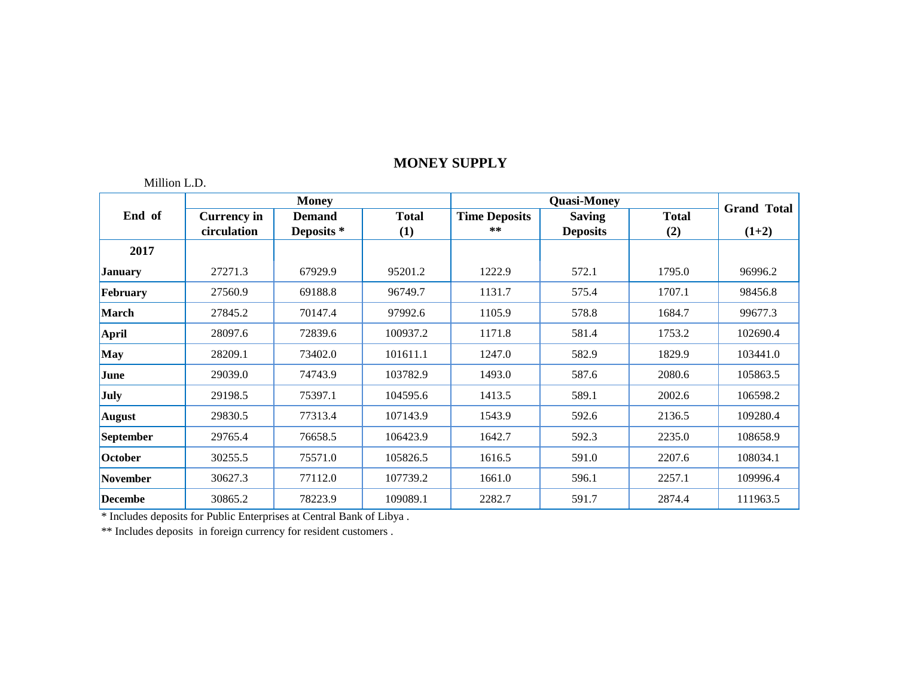### Million L.D.

|                 |                    | <b>Money</b>  |              |                      | <b>Quasi-Money</b> |              | <b>Grand Total</b> |
|-----------------|--------------------|---------------|--------------|----------------------|--------------------|--------------|--------------------|
| End of          | <b>Currency in</b> | <b>Demand</b> | <b>Total</b> | <b>Time Deposits</b> | <b>Saving</b>      | <b>Total</b> |                    |
|                 | circulation        | Deposits *    | (1)          | **                   | <b>Deposits</b>    | (2)          | $(1+2)$            |
| 2017            |                    |               |              |                      |                    |              |                    |
| <b>January</b>  | 27271.3            | 67929.9       | 95201.2      | 1222.9               | 572.1              | 1795.0       | 96996.2            |
| February        | 27560.9            | 69188.8       | 96749.7      | 1131.7               | 575.4              | 1707.1       | 98456.8            |
| March           | 27845.2            | 70147.4       | 97992.6      | 1105.9               | 578.8              | 1684.7       | 99677.3            |
| <b>April</b>    | 28097.6            | 72839.6       | 100937.2     | 1171.8               | 581.4              | 1753.2       | 102690.4           |
| May             | 28209.1            | 73402.0       | 101611.1     | 1247.0               | 582.9              | 1829.9       | 103441.0           |
| June            | 29039.0            | 74743.9       | 103782.9     | 1493.0               | 587.6              | 2080.6       | 105863.5           |
| July            | 29198.5            | 75397.1       | 104595.6     | 1413.5               | 589.1              | 2002.6       | 106598.2           |
| <b>August</b>   | 29830.5            | 77313.4       | 107143.9     | 1543.9               | 592.6              | 2136.5       | 109280.4           |
| September       | 29765.4            | 76658.5       | 106423.9     | 1642.7               | 592.3              | 2235.0       | 108658.9           |
| October         | 30255.5            | 75571.0       | 105826.5     | 1616.5               | 591.0              | 2207.6       | 108034.1           |
| <b>November</b> | 30627.3            | 77112.0       | 107739.2     | 1661.0               | 596.1              | 2257.1       | 109996.4           |
| <b>Decembe</b>  | 30865.2            | 78223.9       | 109089.1     | 2282.7               | 591.7              | 2874.4       | 111963.5           |

\* Includes deposits for Public Enterprises at Central Bank of Libya .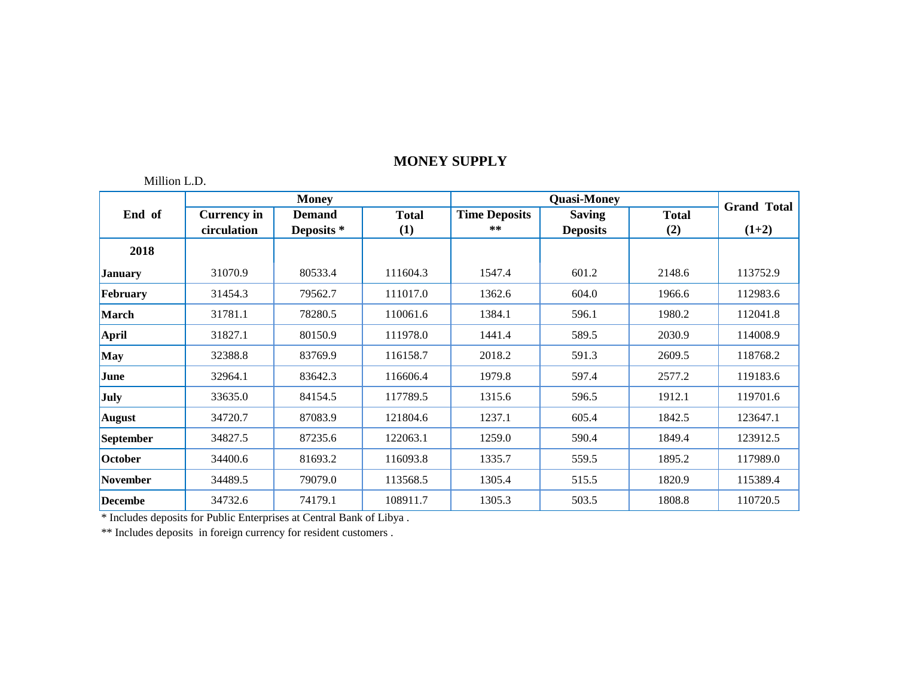### Million L.D.

|                |                    | <b>Money</b>  |              |                      | <b>Quasi-Money</b> |              | <b>Grand Total</b> |
|----------------|--------------------|---------------|--------------|----------------------|--------------------|--------------|--------------------|
| End of         | <b>Currency in</b> | <b>Demand</b> | <b>Total</b> | <b>Time Deposits</b> | <b>Saving</b>      | <b>Total</b> |                    |
|                | circulation        | Deposits *    | (1)          | $***$                | <b>Deposits</b>    | (2)          | $(1+2)$            |
| 2018           |                    |               |              |                      |                    |              |                    |
| <b>January</b> | 31070.9            | 80533.4       | 111604.3     | 1547.4               | 601.2              | 2148.6       | 113752.9           |
| February       | 31454.3            | 79562.7       | 111017.0     | 1362.6               | 604.0              | 1966.6       | 112983.6           |
| March          | 31781.1            | 78280.5       | 110061.6     | 1384.1               | 596.1              | 1980.2       | 112041.8           |
| <b>April</b>   | 31827.1            | 80150.9       | 111978.0     | 1441.4               | 589.5              | 2030.9       | 114008.9           |
| May            | 32388.8            | 83769.9       | 116158.7     | 2018.2               | 591.3              | 2609.5       | 118768.2           |
| June           | 32964.1            | 83642.3       | 116606.4     | 1979.8               | 597.4              | 2577.2       | 119183.6           |
| <b>July</b>    | 33635.0            | 84154.5       | 117789.5     | 1315.6               | 596.5              | 1912.1       | 119701.6           |
| <b>August</b>  | 34720.7            | 87083.9       | 121804.6     | 1237.1               | 605.4              | 1842.5       | 123647.1           |
| September      | 34827.5            | 87235.6       | 122063.1     | 1259.0               | 590.4              | 1849.4       | 123912.5           |
| October        | 34400.6            | 81693.2       | 116093.8     | 1335.7               | 559.5              | 1895.2       | 117989.0           |
| November       | 34489.5            | 79079.0       | 113568.5     | 1305.4               | 515.5              | 1820.9       | 115389.4           |
| <b>Decembe</b> | 34732.6            | 74179.1       | 108911.7     | 1305.3               | 503.5              | 1808.8       | 110720.5           |

\* Includes deposits for Public Enterprises at Central Bank of Libya .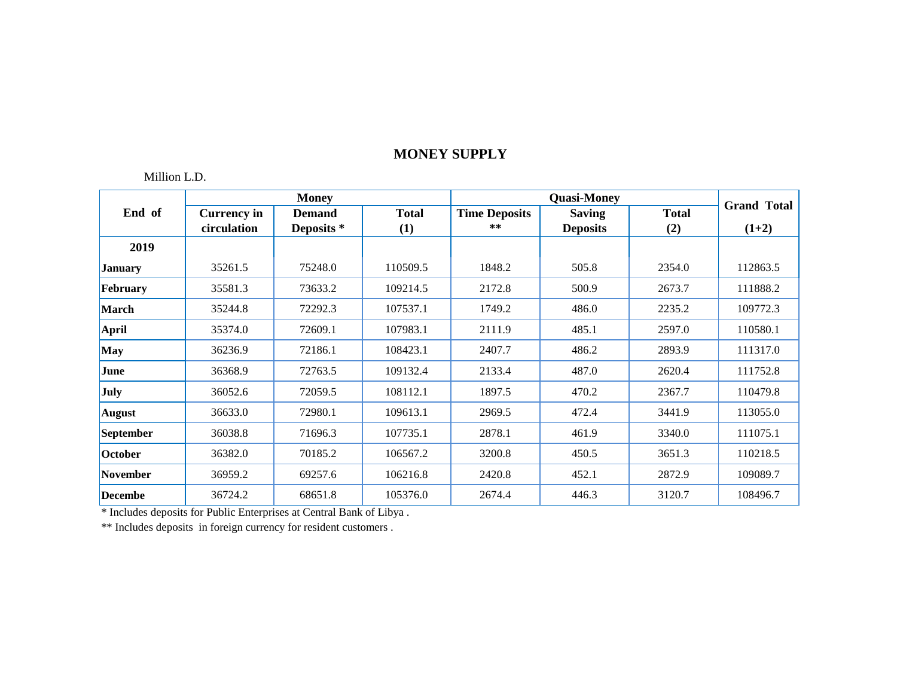Million L.D.

|                 |                    | <b>Money</b>          |              |                      | <b>Quasi-Money</b> |              | <b>Grand Total</b> |
|-----------------|--------------------|-----------------------|--------------|----------------------|--------------------|--------------|--------------------|
| End of          | <b>Currency in</b> | <b>Demand</b>         | <b>Total</b> | <b>Time Deposits</b> | <b>Saving</b>      | <b>Total</b> |                    |
|                 | circulation        | Deposits <sup>*</sup> | (1)          | **                   | <b>Deposits</b>    | (2)          | $(1+2)$            |
| 2019            |                    |                       |              |                      |                    |              |                    |
| <b>January</b>  | 35261.5            | 75248.0               | 110509.5     | 1848.2               | 505.8              | 2354.0       | 112863.5           |
| February        | 35581.3            | 73633.2               | 109214.5     | 2172.8               | 500.9              | 2673.7       | 111888.2           |
| March           | 35244.8            | 72292.3               | 107537.1     | 1749.2               | 486.0              | 2235.2       | 109772.3           |
| <b>April</b>    | 35374.0            | 72609.1               | 107983.1     | 2111.9               | 485.1              | 2597.0       | 110580.1           |
| May             | 36236.9            | 72186.1               | 108423.1     | 2407.7               | 486.2              | 2893.9       | 111317.0           |
| June            | 36368.9            | 72763.5               | 109132.4     | 2133.4               | 487.0              | 2620.4       | 111752.8           |
| July            | 36052.6            | 72059.5               | 108112.1     | 1897.5               | 470.2              | 2367.7       | 110479.8           |
| <b>August</b>   | 36633.0            | 72980.1               | 109613.1     | 2969.5               | 472.4              | 3441.9       | 113055.0           |
| September       | 36038.8            | 71696.3               | 107735.1     | 2878.1               | 461.9              | 3340.0       | 111075.1           |
| October         | 36382.0            | 70185.2               | 106567.2     | 3200.8               | 450.5              | 3651.3       | 110218.5           |
| <b>November</b> | 36959.2            | 69257.6               | 106216.8     | 2420.8               | 452.1              | 2872.9       | 109089.7           |
| <b>Decembe</b>  | 36724.2            | 68651.8               | 105376.0     | 2674.4               | 446.3              | 3120.7       | 108496.7           |

\* Includes deposits for Public Enterprises at Central Bank of Libya .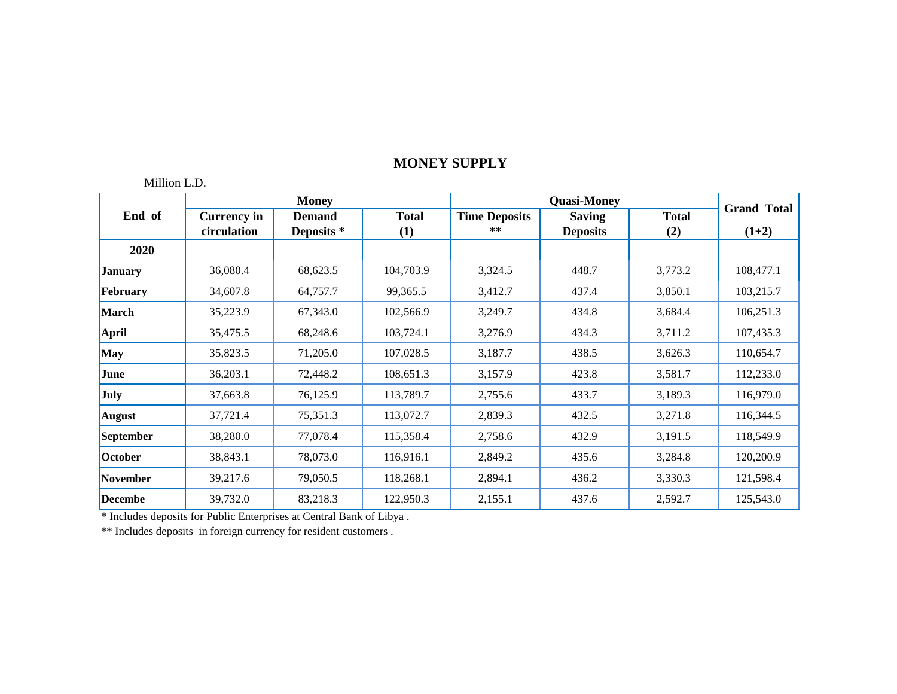### Million L.D.

|                  |                    | <b>Money</b>          |              |                      | <b>Quasi-Money</b> |              | <b>Grand Total</b> |
|------------------|--------------------|-----------------------|--------------|----------------------|--------------------|--------------|--------------------|
| End of           | <b>Currency in</b> | <b>Demand</b>         | <b>Total</b> | <b>Time Deposits</b> | <b>Saving</b>      | <b>Total</b> |                    |
|                  | circulation        | Deposits <sup>*</sup> | (1)          | **                   | <b>Deposits</b>    | (2)          | $(1+2)$            |
| 2020             |                    |                       |              |                      |                    |              |                    |
| <b>January</b>   | 36,080.4           | 68,623.5              | 104,703.9    | 3,324.5              | 448.7              | 3,773.2      | 108,477.1          |
| February         | 34,607.8           | 64,757.7              | 99,365.5     | 3,412.7              | 437.4              | 3,850.1      | 103,215.7          |
| <b>March</b>     | 35,223.9           | 67,343.0              | 102,566.9    | 3,249.7              | 434.8              | 3,684.4      | 106,251.3          |
| April            | 35,475.5           | 68,248.6              | 103,724.1    | 3,276.9              | 434.3              | 3,711.2      | 107,435.3          |
| <b>May</b>       | 35,823.5           | 71,205.0              | 107,028.5    | 3,187.7              | 438.5              | 3,626.3      | 110,654.7          |
| June             | 36,203.1           | 72,448.2              | 108,651.3    | 3,157.9              | 423.8              | 3,581.7      | 112,233.0          |
| <b>July</b>      | 37,663.8           | 76,125.9              | 113,789.7    | 2,755.6              | 433.7              | 3,189.3      | 116,979.0          |
| <b>August</b>    | 37,721.4           | 75,351.3              | 113,072.7    | 2,839.3              | 432.5              | 3,271.8      | 116,344.5          |
| <b>September</b> | 38,280.0           | 77,078.4              | 115,358.4    | 2,758.6              | 432.9              | 3,191.5      | 118,549.9          |
| October          | 38,843.1           | 78,073.0              | 116,916.1    | 2,849.2              | 435.6              | 3,284.8      | 120,200.9          |
| <b>November</b>  | 39,217.6           | 79,050.5              | 118,268.1    | 2,894.1              | 436.2              | 3,330.3      | 121,598.4          |
| <b>Decembe</b>   | 39,732.0           | 83,218.3              | 122,950.3    | 2,155.1              | 437.6              | 2,592.7      | 125,543.0          |

\* Includes deposits for Public Enterprises at Central Bank of Libya .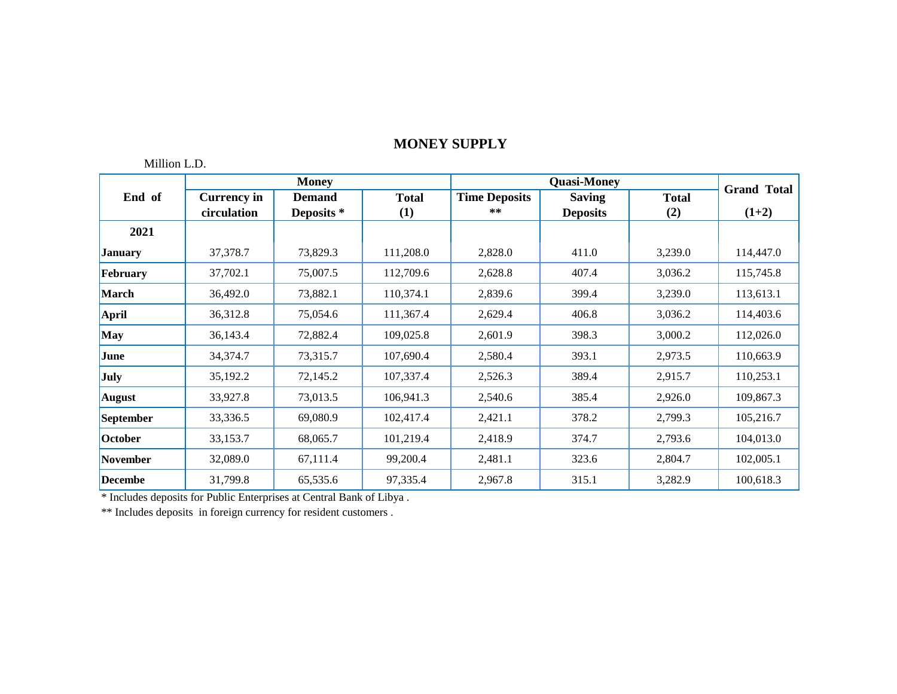## Million L.D.

|                  |                    | <b>Money</b>          |                  |                      | <b>Quasi-Money</b> |              | <b>Grand Total</b> |
|------------------|--------------------|-----------------------|------------------|----------------------|--------------------|--------------|--------------------|
| End of           | <b>Currency in</b> | <b>Demand</b>         | <b>Total</b>     | <b>Time Deposits</b> | <b>Saving</b>      | <b>Total</b> |                    |
|                  | circulation        | Deposits <sup>*</sup> | $\left(1\right)$ | **                   | <b>Deposits</b>    | (2)          | $(1+2)$            |
| 2021             |                    |                       |                  |                      |                    |              |                    |
| <b>January</b>   | 37,378.7           | 73,829.3              | 111,208.0        | 2,828.0              | 411.0              | 3,239.0      | 114,447.0          |
| February         | 37,702.1           | 75,007.5              | 112,709.6        | 2,628.8              | 407.4              | 3,036.2      | 115,745.8          |
| <b>March</b>     | 36,492.0           | 73,882.1              | 110,374.1        | 2,839.6              | 399.4              | 3,239.0      | 113,613.1          |
| April            | 36,312.8           | 75,054.6              | 111,367.4        | 2,629.4              | 406.8              | 3,036.2      | 114,403.6          |
| <b>May</b>       | 36,143.4           | 72,882.4              | 109,025.8        | 2,601.9              | 398.3              | 3,000.2      | 112,026.0          |
| June             | 34,374.7           | 73,315.7              | 107,690.4        | 2,580.4              | 393.1              | 2,973.5      | 110,663.9          |
| <b>July</b>      | 35,192.2           | 72,145.2              | 107,337.4        | 2,526.3              | 389.4              | 2,915.7      | 110,253.1          |
| <b>August</b>    | 33,927.8           | 73,013.5              | 106,941.3        | 2,540.6              | 385.4              | 2,926.0      | 109,867.3          |
| <b>September</b> | 33,336.5           | 69,080.9              | 102,417.4        | 2,421.1              | 378.2              | 2,799.3      | 105,216.7          |
| October          | 33,153.7           | 68,065.7              | 101,219.4        | 2,418.9              | 374.7              | 2,793.6      | 104,013.0          |
| <b>November</b>  | 32,089.0           | 67,111.4              | 99,200.4         | 2,481.1              | 323.6              | 2,804.7      | 102,005.1          |
| <b>Decembe</b>   | 31,799.8           | 65,535.6              | 97,335.4         | 2,967.8              | 315.1              | 3,282.9      | 100,618.3          |

\* Includes deposits for Public Enterprises at Central Bank of Libya .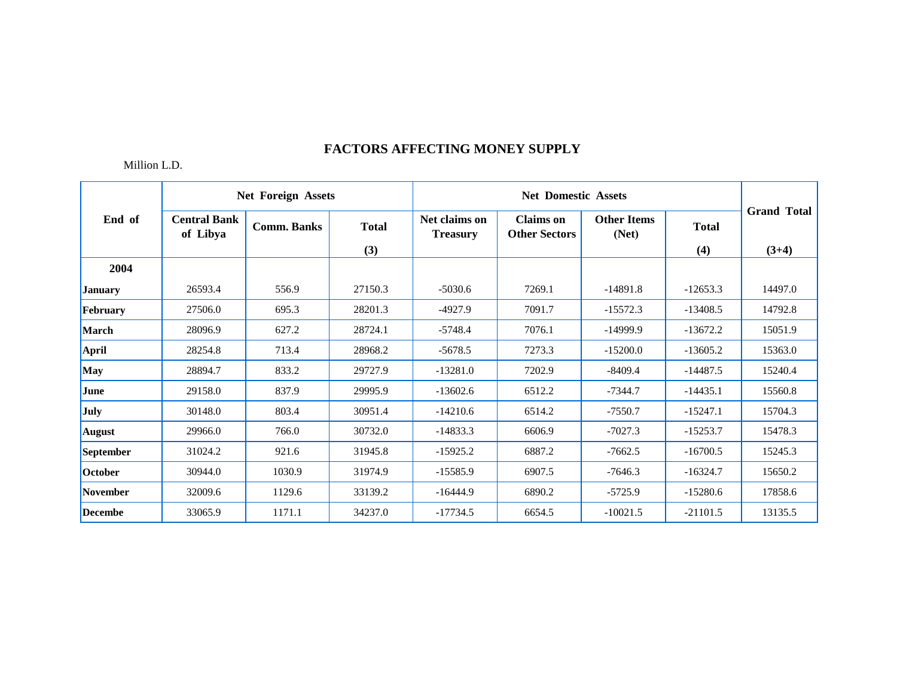|                 |                                 | <b>Net Foreign Assets</b> |              |                                  | <b>Net Domestic Assets</b>               |                             |              |                    |
|-----------------|---------------------------------|---------------------------|--------------|----------------------------------|------------------------------------------|-----------------------------|--------------|--------------------|
| End of          | <b>Central Bank</b><br>of Libya | <b>Comm. Banks</b>        | <b>Total</b> | Net claims on<br><b>Treasury</b> | <b>Claims</b> on<br><b>Other Sectors</b> | <b>Other Items</b><br>(Net) | <b>Total</b> | <b>Grand Total</b> |
|                 |                                 |                           | (3)          |                                  |                                          |                             | (4)          | $(3+4)$            |
| 2004            |                                 |                           |              |                                  |                                          |                             |              |                    |
| <b>January</b>  | 26593.4                         | 556.9                     | 27150.3      | $-5030.6$                        | 7269.1                                   | $-14891.8$                  | $-12653.3$   | 14497.0            |
| February        | 27506.0                         | 695.3                     | 28201.3      | $-4927.9$                        | 7091.7                                   | $-15572.3$                  | $-13408.5$   | 14792.8            |
| March           | 28096.9                         | 627.2                     | 28724.1      | $-5748.4$                        | 7076.1                                   | $-14999.9$                  | $-13672.2$   | 15051.9            |
| April           | 28254.8                         | 713.4                     | 28968.2      | $-5678.5$                        | 7273.3                                   | $-15200.0$                  | $-13605.2$   | 15363.0            |
| May             | 28894.7                         | 833.2                     | 29727.9      | $-13281.0$                       | 7202.9                                   | $-8409.4$                   | $-14487.5$   | 15240.4            |
| June            | 29158.0                         | 837.9                     | 29995.9      | $-13602.6$                       | 6512.2                                   | $-7344.7$                   | $-14435.1$   | 15560.8            |
| July            | 30148.0                         | 803.4                     | 30951.4      | $-14210.6$                       | 6514.2                                   | $-7550.7$                   | $-15247.1$   | 15704.3            |
| <b>August</b>   | 29966.0                         | 766.0                     | 30732.0      | $-14833.3$                       | 6606.9                                   | $-7027.3$                   | $-15253.7$   | 15478.3            |
| September       | 31024.2                         | 921.6                     | 31945.8      | $-15925.2$                       | 6887.2                                   | $-7662.5$                   | $-16700.5$   | 15245.3            |
| October         | 30944.0                         | 1030.9                    | 31974.9      | $-15585.9$                       | 6907.5                                   | $-7646.3$                   | $-16324.7$   | 15650.2            |
| <b>November</b> | 32009.6                         | 1129.6                    | 33139.2      | $-16444.9$                       | 6890.2                                   | $-5725.9$                   | $-15280.6$   | 17858.6            |
| <b>Decembe</b>  | 33065.9                         | 1171.1                    | 34237.0      | $-17734.5$                       | 6654.5                                   | $-10021.5$                  | $-21101.5$   | 13135.5            |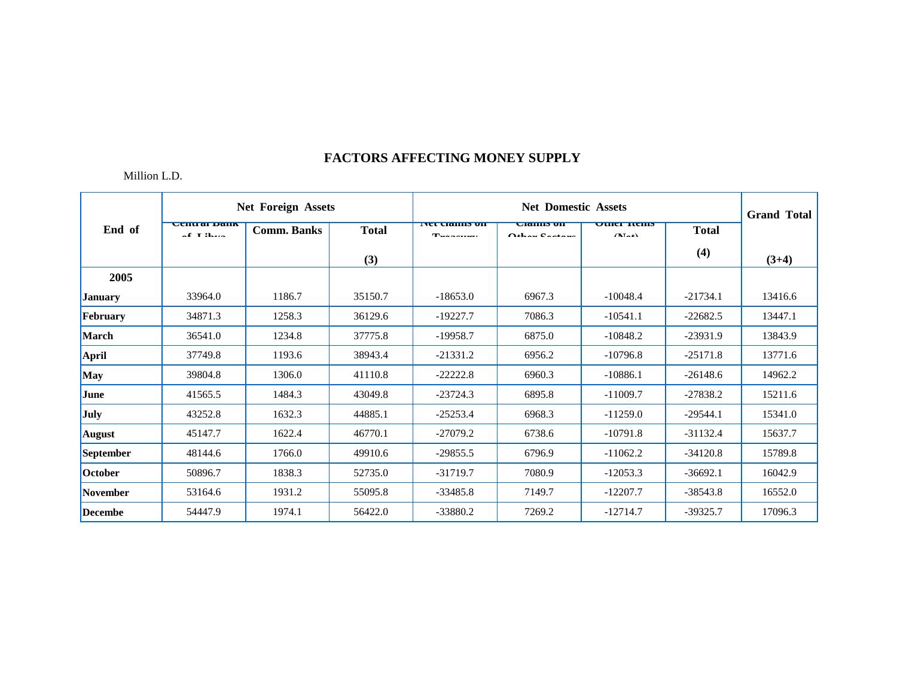|                |                                                                  | <b>Net Foreign Assets</b> |              |                                                                  | <b>Net Domestic Assets</b>         |                              |              |         |  |  |
|----------------|------------------------------------------------------------------|---------------------------|--------------|------------------------------------------------------------------|------------------------------------|------------------------------|--------------|---------|--|--|
| End of         | <b>Central Dank</b><br>$\alpha$ <b>P I</b> $2$ <b>L</b> $\ldots$ | <b>Comm. Banks</b>        | <b>Total</b> | <b>TVEL CRAINIS OIL</b><br>$T_{\text{max}}$ and $T_{\text{max}}$ | <b>URHIIIS UH</b><br>Athen Cookers | <b>UTHEL TREILS</b><br>(1.1) | <b>Total</b> |         |  |  |
|                |                                                                  |                           | (3)          |                                                                  |                                    |                              | (4)          | $(3+4)$ |  |  |
| 2005           |                                                                  |                           |              |                                                                  |                                    |                              |              |         |  |  |
| <b>January</b> | 33964.0                                                          | 1186.7                    | 35150.7      | $-18653.0$                                                       | 6967.3                             | $-10048.4$                   | $-21734.1$   | 13416.6 |  |  |
| February       | 34871.3                                                          | 1258.3                    | 36129.6      | $-19227.7$                                                       | 7086.3                             | $-10541.1$                   | $-22682.5$   | 13447.1 |  |  |
| <b>March</b>   | 36541.0                                                          | 1234.8                    | 37775.8      | $-19958.7$                                                       | 6875.0                             | $-10848.2$                   | $-23931.9$   | 13843.9 |  |  |
| April          | 37749.8                                                          | 1193.6                    | 38943.4      | $-21331.2$                                                       | 6956.2                             | $-10796.8$                   | $-25171.8$   | 13771.6 |  |  |
| <b>May</b>     | 39804.8                                                          | 1306.0                    | 41110.8      | $-22222.8$                                                       | 6960.3                             | $-10886.1$                   | $-26148.6$   | 14962.2 |  |  |
| June           | 41565.5                                                          | 1484.3                    | 43049.8      | $-23724.3$                                                       | 6895.8                             | $-11009.7$                   | $-27838.2$   | 15211.6 |  |  |
| <b>July</b>    | 43252.8                                                          | 1632.3                    | 44885.1      | $-25253.4$                                                       | 6968.3                             | $-11259.0$                   | $-29544.1$   | 15341.0 |  |  |
| <b>August</b>  | 45147.7                                                          | 1622.4                    | 46770.1      | $-27079.2$                                                       | 6738.6                             | $-10791.8$                   | $-31132.4$   | 15637.7 |  |  |
| September      | 48144.6                                                          | 1766.0                    | 49910.6      | $-29855.5$                                                       | 6796.9                             | $-11062.2$                   | $-34120.8$   | 15789.8 |  |  |
| <b>October</b> | 50896.7                                                          | 1838.3                    | 52735.0      | $-31719.7$                                                       | 7080.9                             | $-12053.3$                   | $-36692.1$   | 16042.9 |  |  |
| November       | 53164.6                                                          | 1931.2                    | 55095.8      | $-33485.8$                                                       | 7149.7                             | $-12207.7$                   | $-38543.8$   | 16552.0 |  |  |
| Decembe        | 54447.9                                                          | 1974.1                    | 56422.0      | $-33880.2$                                                       | 7269.2                             | $-12714.7$                   | $-39325.7$   | 17096.3 |  |  |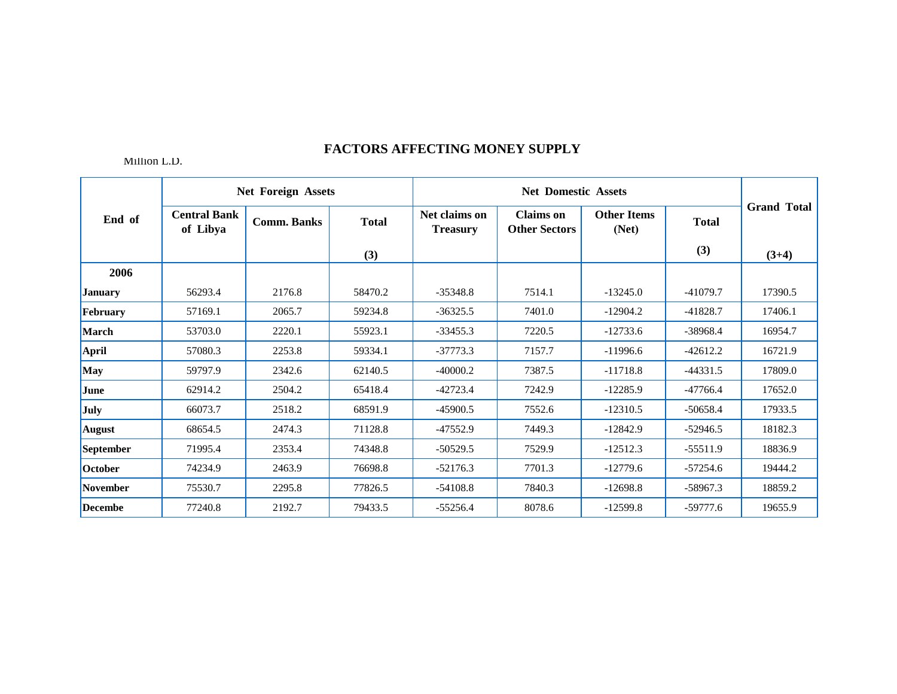|                |                                 | <b>Net Foreign Assets</b> |              |                                  | <b>Net Domestic Assets</b>               |                             |              |                    |
|----------------|---------------------------------|---------------------------|--------------|----------------------------------|------------------------------------------|-----------------------------|--------------|--------------------|
| End of         | <b>Central Bank</b><br>of Libya | <b>Comm. Banks</b>        | <b>Total</b> | Net claims on<br><b>Treasury</b> | <b>Claims</b> on<br><b>Other Sectors</b> | <b>Other Items</b><br>(Net) | <b>Total</b> | <b>Grand Total</b> |
|                |                                 |                           | (3)          |                                  |                                          |                             | (3)          | $(3+4)$            |
| 2006           |                                 |                           |              |                                  |                                          |                             |              |                    |
| <b>January</b> | 56293.4                         | 2176.8                    | 58470.2      | $-35348.8$                       | 7514.1                                   | $-13245.0$                  | $-41079.7$   | 17390.5            |
| February       | 57169.1                         | 2065.7                    | 59234.8      | $-36325.5$                       | 7401.0                                   | $-12904.2$                  | $-41828.7$   | 17406.1            |
| March          | 53703.0                         | 2220.1                    | 55923.1      | $-33455.3$                       | 7220.5                                   | $-12733.6$                  | $-38968.4$   | 16954.7            |
| <b>April</b>   | 57080.3                         | 2253.8                    | 59334.1      | $-37773.3$                       | 7157.7                                   | $-11996.6$                  | $-42612.2$   | 16721.9            |
| May            | 59797.9                         | 2342.6                    | 62140.5      | $-40000.2$                       | 7387.5                                   | $-11718.8$                  | $-44331.5$   | 17809.0            |
| June           | 62914.2                         | 2504.2                    | 65418.4      | $-42723.4$                       | 7242.9                                   | $-12285.9$                  | $-47766.4$   | 17652.0            |
| July           | 66073.7                         | 2518.2                    | 68591.9      | $-45900.5$                       | 7552.6                                   | $-12310.5$                  | $-50658.4$   | 17933.5            |
| <b>August</b>  | 68654.5                         | 2474.3                    | 71128.8      | $-47552.9$                       | 7449.3                                   | $-12842.9$                  | $-52946.5$   | 18182.3            |
| September      | 71995.4                         | 2353.4                    | 74348.8      | $-50529.5$                       | 7529.9                                   | $-12512.3$                  | $-55511.9$   | 18836.9            |
| October        | 74234.9                         | 2463.9                    | 76698.8      | $-52176.3$                       | 7701.3                                   | $-12779.6$                  | $-57254.6$   | 19444.2            |
| November       | 75530.7                         | 2295.8                    | 77826.5      | $-54108.8$                       | 7840.3                                   | $-12698.8$                  | $-58967.3$   | 18859.2            |
| <b>Decembe</b> | 77240.8                         | 2192.7                    | 79433.5      | $-55256.4$                       | 8078.6                                   | $-12599.8$                  | $-59777.6$   | 19655.9            |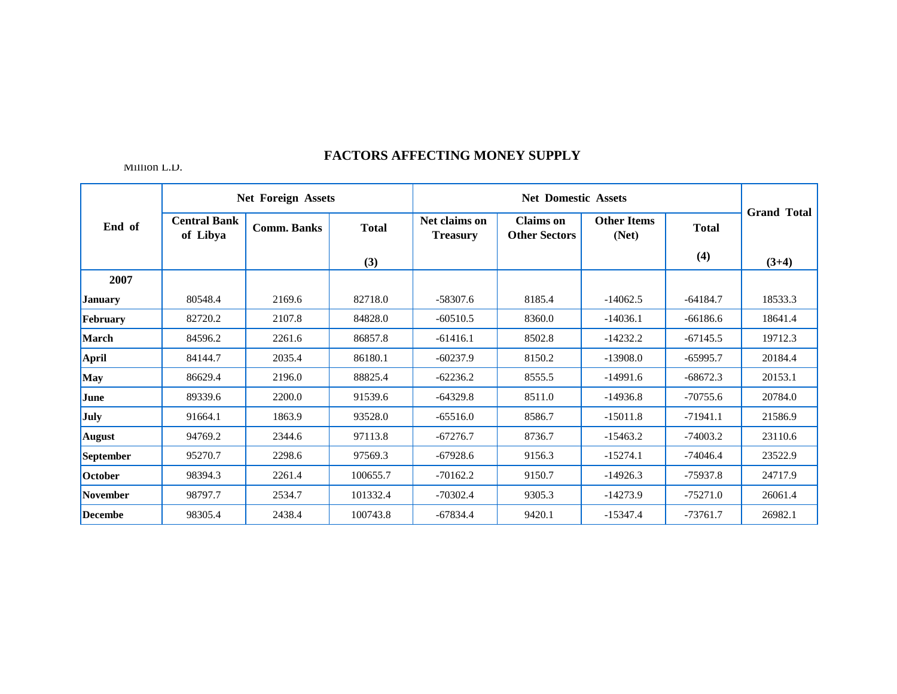|                  |                                 | <b>Net Foreign Assets</b> |              |                                  | <b>Net Domestic Assets</b>               |                             |              |                    |
|------------------|---------------------------------|---------------------------|--------------|----------------------------------|------------------------------------------|-----------------------------|--------------|--------------------|
| End of           | <b>Central Bank</b><br>of Libya | <b>Comm. Banks</b>        | <b>Total</b> | Net claims on<br><b>Treasury</b> | <b>Claims</b> on<br><b>Other Sectors</b> | <b>Other Items</b><br>(Net) | <b>Total</b> | <b>Grand Total</b> |
|                  |                                 |                           | (3)          |                                  |                                          |                             | (4)          | $(3+4)$            |
| 2007             |                                 |                           |              |                                  |                                          |                             |              |                    |
| <b>January</b>   | 80548.4                         | 2169.6                    | 82718.0      | $-58307.6$                       | 8185.4                                   | $-14062.5$                  | $-64184.7$   | 18533.3            |
| February         | 82720.2                         | 2107.8                    | 84828.0      | $-60510.5$                       | 8360.0                                   | $-14036.1$                  | $-66186.6$   | 18641.4            |
| <b>March</b>     | 84596.2                         | 2261.6                    | 86857.8      | $-61416.1$                       | 8502.8                                   | $-14232.2$                  | $-67145.5$   | 19712.3            |
| April            | 84144.7                         | 2035.4                    | 86180.1      | $-60237.9$                       | 8150.2                                   | $-13908.0$                  | $-65995.7$   | 20184.4            |
| <b>May</b>       | 86629.4                         | 2196.0                    | 88825.4      | $-62236.2$                       | 8555.5                                   | $-14991.6$                  | $-68672.3$   | 20153.1            |
| June             | 89339.6                         | 2200.0                    | 91539.6      | $-64329.8$                       | 8511.0                                   | $-14936.8$                  | $-70755.6$   | 20784.0            |
| July             | 91664.1                         | 1863.9                    | 93528.0      | $-65516.0$                       | 8586.7                                   | $-15011.8$                  | $-71941.1$   | 21586.9            |
| <b>August</b>    | 94769.2                         | 2344.6                    | 97113.8      | $-67276.7$                       | 8736.7                                   | $-15463.2$                  | $-74003.2$   | 23110.6            |
| <b>September</b> | 95270.7                         | 2298.6                    | 97569.3      | $-67928.6$                       | 9156.3                                   | $-15274.1$                  | $-74046.4$   | 23522.9            |
| October          | 98394.3                         | 2261.4                    | 100655.7     | $-70162.2$                       | 9150.7                                   | $-14926.3$                  | $-75937.8$   | 24717.9            |
| November         | 98797.7                         | 2534.7                    | 101332.4     | $-70302.4$                       | 9305.3                                   | $-14273.9$                  | $-75271.0$   | 26061.4            |
| <b>Decembe</b>   | 98305.4                         | 2438.4                    | 100743.8     | $-67834.4$                       | 9420.1                                   | $-15347.4$                  | $-73761.7$   | 26982.1            |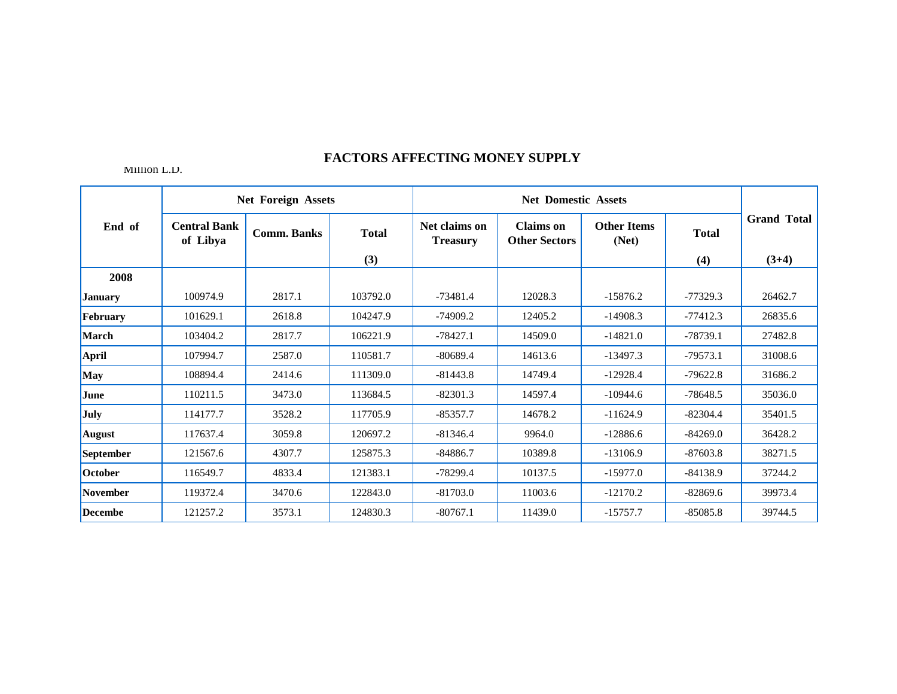|                |                                 | <b>Net Foreign Assets</b> |              |                                  | <b>Net Domestic Assets</b>               |                             |              |                    |
|----------------|---------------------------------|---------------------------|--------------|----------------------------------|------------------------------------------|-----------------------------|--------------|--------------------|
| End of         | <b>Central Bank</b><br>of Libya | <b>Comm. Banks</b>        | <b>Total</b> | Net claims on<br><b>Treasury</b> | <b>Claims</b> on<br><b>Other Sectors</b> | <b>Other Items</b><br>(Net) | <b>Total</b> | <b>Grand Total</b> |
|                |                                 |                           | (3)          |                                  |                                          |                             | (4)          | $(3+4)$            |
| 2008           |                                 |                           |              |                                  |                                          |                             |              |                    |
| <b>January</b> | 100974.9                        | 2817.1                    | 103792.0     | $-73481.4$                       | 12028.3                                  | $-15876.2$                  | $-77329.3$   | 26462.7            |
| February       | 101629.1                        | 2618.8                    | 104247.9     | $-74909.2$                       | 12405.2                                  | $-14908.3$                  | $-77412.3$   | 26835.6            |
| <b>March</b>   | 103404.2                        | 2817.7                    | 106221.9     | $-78427.1$                       | 14509.0                                  | $-14821.0$                  | $-78739.1$   | 27482.8            |
| <b>April</b>   | 107994.7                        | 2587.0                    | 110581.7     | $-80689.4$                       | 14613.6                                  | $-13497.3$                  | $-79573.1$   | 31008.6            |
| <b>May</b>     | 108894.4                        | 2414.6                    | 111309.0     | $-81443.8$                       | 14749.4                                  | $-12928.4$                  | $-79622.8$   | 31686.2            |
| June           | 110211.5                        | 3473.0                    | 113684.5     | $-82301.3$                       | 14597.4                                  | $-10944.6$                  | $-78648.5$   | 35036.0            |
| July           | 114177.7                        | 3528.2                    | 117705.9     | $-85357.7$                       | 14678.2                                  | $-11624.9$                  | $-82304.4$   | 35401.5            |
| <b>August</b>  | 117637.4                        | 3059.8                    | 120697.2     | $-81346.4$                       | 9964.0                                   | $-12886.6$                  | $-84269.0$   | 36428.2            |
| September      | 121567.6                        | 4307.7                    | 125875.3     | $-84886.7$                       | 10389.8                                  | $-13106.9$                  | $-87603.8$   | 38271.5            |
| October        | 116549.7                        | 4833.4                    | 121383.1     | $-78299.4$                       | 10137.5                                  | $-15977.0$                  | $-84138.9$   | 37244.2            |
| November       | 119372.4                        | 3470.6                    | 122843.0     | $-81703.0$                       | 11003.6                                  | $-12170.2$                  | $-82869.6$   | 39973.4            |
| <b>Decembe</b> | 121257.2                        | 3573.1                    | 124830.3     | $-80767.1$                       | 11439.0                                  | $-15757.7$                  | $-85085.8$   | 39744.5            |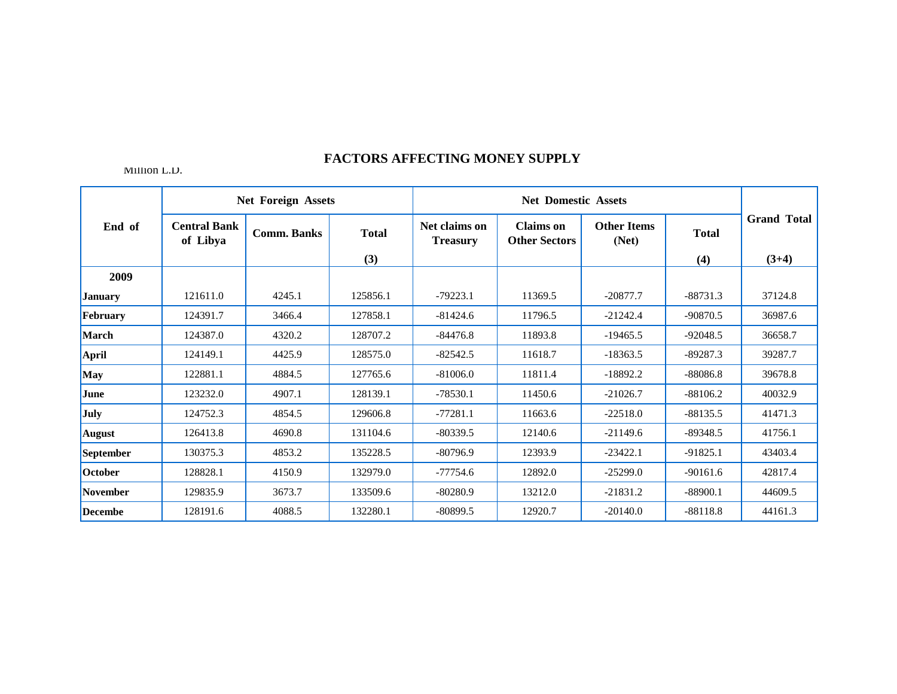|                |                                 | <b>Net Foreign Assets</b> |              |                                  | <b>Net Domestic Assets</b>               |                             |              |                    |
|----------------|---------------------------------|---------------------------|--------------|----------------------------------|------------------------------------------|-----------------------------|--------------|--------------------|
| End of         | <b>Central Bank</b><br>of Libya | <b>Comm. Banks</b>        | <b>Total</b> | Net claims on<br><b>Treasury</b> | <b>Claims</b> on<br><b>Other Sectors</b> | <b>Other Items</b><br>(Net) | <b>Total</b> | <b>Grand Total</b> |
|                |                                 |                           | (3)          |                                  |                                          |                             | (4)          | $(3+4)$            |
| 2009           |                                 |                           |              |                                  |                                          |                             |              |                    |
| <b>January</b> | 121611.0                        | 4245.1                    | 125856.1     | $-79223.1$                       | 11369.5                                  | $-20877.7$                  | $-88731.3$   | 37124.8            |
| February       | 124391.7                        | 3466.4                    | 127858.1     | $-81424.6$                       | 11796.5                                  | $-21242.4$                  | $-90870.5$   | 36987.6            |
| <b>March</b>   | 124387.0                        | 4320.2                    | 128707.2     | $-84476.8$                       | 11893.8                                  | $-19465.5$                  | $-92048.5$   | 36658.7            |
| <b>April</b>   | 124149.1                        | 4425.9                    | 128575.0     | $-82542.5$                       | 11618.7                                  | $-18363.5$                  | $-89287.3$   | 39287.7            |
| <b>May</b>     | 122881.1                        | 4884.5                    | 127765.6     | $-81006.0$                       | 11811.4                                  | $-18892.2$                  | $-88086.8$   | 39678.8            |
| June           | 123232.0                        | 4907.1                    | 128139.1     | $-78530.1$                       | 11450.6                                  | $-21026.7$                  | $-88106.2$   | 40032.9            |
| July           | 124752.3                        | 4854.5                    | 129606.8     | $-77281.1$                       | 11663.6                                  | $-22518.0$                  | $-88135.5$   | 41471.3            |
| <b>August</b>  | 126413.8                        | 4690.8                    | 131104.6     | $-80339.5$                       | 12140.6                                  | $-21149.6$                  | $-89348.5$   | 41756.1            |
| September      | 130375.3                        | 4853.2                    | 135228.5     | $-80796.9$                       | 12393.9                                  | $-23422.1$                  | $-91825.1$   | 43403.4            |
| October        | 128828.1                        | 4150.9                    | 132979.0     | $-77754.6$                       | 12892.0                                  | $-25299.0$                  | $-90161.6$   | 42817.4            |
| November       | 129835.9                        | 3673.7                    | 133509.6     | $-80280.9$                       | 13212.0                                  | $-21831.2$                  | $-88900.1$   | 44609.5            |
| <b>Decembe</b> | 128191.6                        | 4088.5                    | 132280.1     | $-80899.5$                       | 12920.7                                  | $-20140.0$                  | $-88118.8$   | 44161.3            |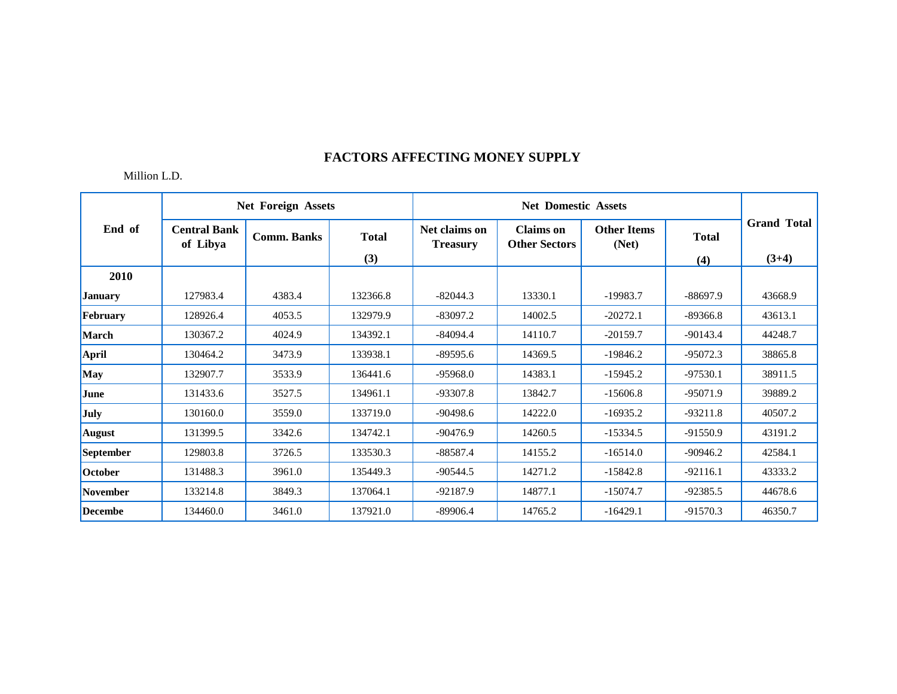|                 |                                 | <b>Net Foreign Assets</b> |                     |                                  | <b>Net Domestic Assets</b>               |                             |                     |                               |
|-----------------|---------------------------------|---------------------------|---------------------|----------------------------------|------------------------------------------|-----------------------------|---------------------|-------------------------------|
| End of          | <b>Central Bank</b><br>of Libya | <b>Comm. Banks</b>        | <b>Total</b><br>(3) | Net claims on<br><b>Treasury</b> | <b>Claims</b> on<br><b>Other Sectors</b> | <b>Other Items</b><br>(Net) | <b>Total</b><br>(4) | <b>Grand Total</b><br>$(3+4)$ |
| 2010            |                                 |                           |                     |                                  |                                          |                             |                     |                               |
| <b>January</b>  | 127983.4                        | 4383.4                    | 132366.8            | $-82044.3$                       | 13330.1                                  | $-19983.7$                  | $-88697.9$          | 43668.9                       |
| February        | 128926.4                        | 4053.5                    | 132979.9            | $-83097.2$                       | 14002.5                                  | $-20272.1$                  | $-89366.8$          | 43613.1                       |
| <b>March</b>    | 130367.2                        | 4024.9                    | 134392.1            | $-84094.4$                       | 14110.7                                  | $-20159.7$                  | $-90143.4$          | 44248.7                       |
| <b>April</b>    | 130464.2                        | 3473.9                    | 133938.1            | $-89595.6$                       | 14369.5                                  | $-19846.2$                  | $-95072.3$          | 38865.8                       |
| May             | 132907.7                        | 3533.9                    | 136441.6            | $-95968.0$                       | 14383.1                                  | $-15945.2$                  | $-97530.1$          | 38911.5                       |
| June            | 131433.6                        | 3527.5                    | 134961.1            | $-93307.8$                       | 13842.7                                  | $-15606.8$                  | $-95071.9$          | 39889.2                       |
| July            | 130160.0                        | 3559.0                    | 133719.0            | $-90498.6$                       | 14222.0                                  | $-16935.2$                  | $-93211.8$          | 40507.2                       |
| <b>August</b>   | 131399.5                        | 3342.6                    | 134742.1            | $-90476.9$                       | 14260.5                                  | $-15334.5$                  | $-91550.9$          | 43191.2                       |
| September       | 129803.8                        | 3726.5                    | 133530.3            | $-88587.4$                       | 14155.2                                  | $-16514.0$                  | $-90946.2$          | 42584.1                       |
| October         | 131488.3                        | 3961.0                    | 135449.3            | $-90544.5$                       | 14271.2                                  | $-15842.8$                  | $-92116.1$          | 43333.2                       |
| <b>November</b> | 133214.8                        | 3849.3                    | 137064.1            | $-92187.9$                       | 14877.1                                  | $-15074.7$                  | $-92385.5$          | 44678.6                       |
| <b>Decembe</b>  | 134460.0                        | 3461.0                    | 137921.0            | $-89906.4$                       | 14765.2                                  | $-16429.1$                  | $-91570.3$          | 46350.7                       |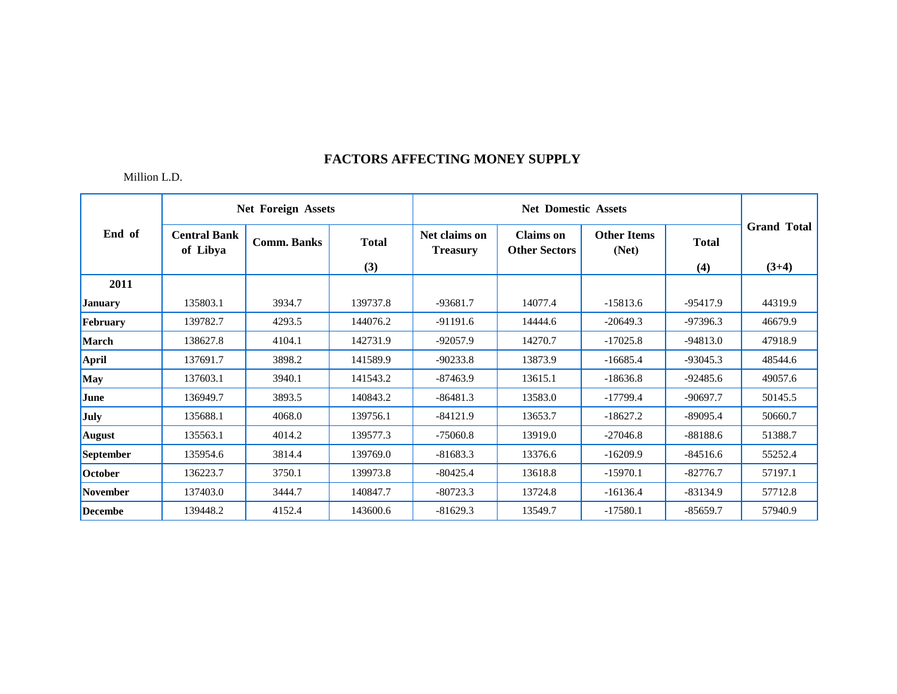|                |                                 | <b>Net Foreign Assets</b> |              |                                  | <b>Net Domestic Assets</b>               |                             |              |                    |
|----------------|---------------------------------|---------------------------|--------------|----------------------------------|------------------------------------------|-----------------------------|--------------|--------------------|
| End of         | <b>Central Bank</b><br>of Libya | <b>Comm. Banks</b>        | <b>Total</b> | Net claims on<br><b>Treasury</b> | <b>Claims</b> on<br><b>Other Sectors</b> | <b>Other Items</b><br>(Net) | <b>Total</b> | <b>Grand Total</b> |
|                |                                 |                           | (3)          |                                  |                                          |                             | (4)          | $(3+4)$            |
| 2011           |                                 |                           |              |                                  |                                          |                             |              |                    |
| <b>January</b> | 135803.1                        | 3934.7                    | 139737.8     | $-93681.7$                       | 14077.4                                  | $-15813.6$                  | $-95417.9$   | 44319.9            |
| February       | 139782.7                        | 4293.5                    | 144076.2     | $-91191.6$                       | 14444.6                                  | $-20649.3$                  | $-97396.3$   | 46679.9            |
| <b>March</b>   | 138627.8                        | 4104.1                    | 142731.9     | $-92057.9$                       | 14270.7                                  | $-17025.8$                  | $-94813.0$   | 47918.9            |
| <b>April</b>   | 137691.7                        | 3898.2                    | 141589.9     | $-90233.8$                       | 13873.9                                  | $-16685.4$                  | $-93045.3$   | 48544.6            |
| May            | 137603.1                        | 3940.1                    | 141543.2     | $-87463.9$                       | 13615.1                                  | $-18636.8$                  | $-92485.6$   | 49057.6            |
| <b>June</b>    | 136949.7                        | 3893.5                    | 140843.2     | $-86481.3$                       | 13583.0                                  | $-17799.4$                  | $-90697.7$   | 50145.5            |
| <b>July</b>    | 135688.1                        | 4068.0                    | 139756.1     | $-84121.9$                       | 13653.7                                  | $-18627.2$                  | $-89095.4$   | 50660.7            |
| <b>August</b>  | 135563.1                        | 4014.2                    | 139577.3     | $-75060.8$                       | 13919.0                                  | $-27046.8$                  | $-88188.6$   | 51388.7            |
| September      | 135954.6                        | 3814.4                    | 139769.0     | $-81683.3$                       | 13376.6                                  | $-16209.9$                  | $-84516.6$   | 55252.4            |
| October        | 136223.7                        | 3750.1                    | 139973.8     | $-80425.4$                       | 13618.8                                  | $-15970.1$                  | $-82776.7$   | 57197.1            |
| November       | 137403.0                        | 3444.7                    | 140847.7     | $-80723.3$                       | 13724.8                                  | $-16136.4$                  | $-83134.9$   | 57712.8            |
| <b>Decembe</b> | 139448.2                        | 4152.4                    | 143600.6     | $-81629.3$                       | 13549.7                                  | $-17580.1$                  | $-85659.7$   | 57940.9            |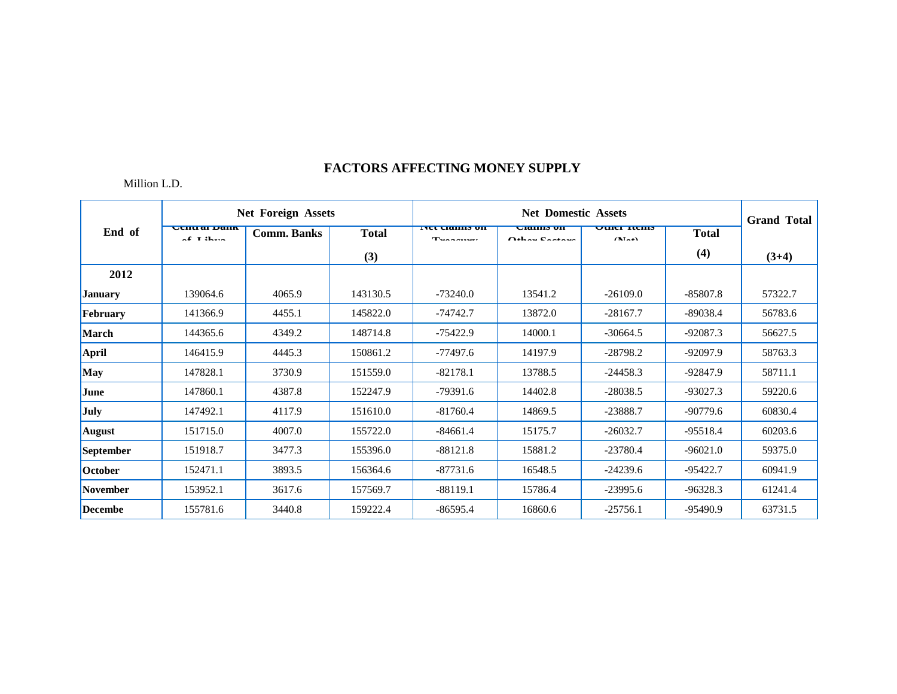|                  |                                   | <b>Net Foreign Assets</b> |              |                                   | <b>Net Domestic Assets</b> |                              |              | <b>Grand Total</b> |
|------------------|-----------------------------------|---------------------------|--------------|-----------------------------------|----------------------------|------------------------------|--------------|--------------------|
| End of           | Central Dann<br>$AP$ T $2L_{max}$ | <b>Comm. Banks</b>        | <b>Total</b> | <b>INCLUEDIUS UN</b><br>$T_{max}$ | CRIMS ON<br>$Ath$ $Ath$    | <b>UTHEL TREILS</b><br>(1.1) | <b>Total</b> |                    |
|                  |                                   |                           | (3)          |                                   |                            |                              | (4)          | $(3+4)$            |
| 2012             |                                   |                           |              |                                   |                            |                              |              |                    |
| <b>January</b>   | 139064.6                          | 4065.9                    | 143130.5     | $-73240.0$                        | 13541.2                    | $-26109.0$                   | $-85807.8$   | 57322.7            |
| February         | 141366.9                          | 4455.1                    | 145822.0     | $-74742.7$                        | 13872.0                    | $-28167.7$                   | -89038.4     | 56783.6            |
| <b>March</b>     | 144365.6                          | 4349.2                    | 148714.8     | $-75422.9$                        | 14000.1                    | $-30664.5$                   | -92087.3     | 56627.5            |
| <b>April</b>     | 146415.9                          | 4445.3                    | 150861.2     | $-77497.6$                        | 14197.9                    | $-28798.2$                   | $-92097.9$   | 58763.3            |
| May              | 147828.1                          | 3730.9                    | 151559.0     | $-82178.1$                        | 13788.5                    | $-24458.3$                   | -92847.9     | 58711.1            |
| June             | 147860.1                          | 4387.8                    | 152247.9     | $-79391.6$                        | 14402.8                    | $-28038.5$                   | $-93027.3$   | 59220.6            |
| July             | 147492.1                          | 4117.9                    | 151610.0     | $-81760.4$                        | 14869.5                    | $-23888.7$                   | $-90779.6$   | 60830.4            |
| <b>August</b>    | 151715.0                          | 4007.0                    | 155722.0     | $-84661.4$                        | 15175.7                    | $-26032.7$                   | $-95518.4$   | 60203.6            |
| <b>September</b> | 151918.7                          | 3477.3                    | 155396.0     | $-88121.8$                        | 15881.2                    | $-23780.4$                   | $-96021.0$   | 59375.0            |
| October          | 152471.1                          | 3893.5                    | 156364.6     | $-87731.6$                        | 16548.5                    | $-24239.6$                   | $-95422.7$   | 60941.9            |
| <b>November</b>  | 153952.1                          | 3617.6                    | 157569.7     | $-88119.1$                        | 15786.4                    | $-23995.6$                   | $-96328.3$   | 61241.4            |
| <b>Decembe</b>   | 155781.6                          | 3440.8                    | 159222.4     | $-86595.4$                        | 16860.6                    | $-25756.1$                   | -95490.9     | 63731.5            |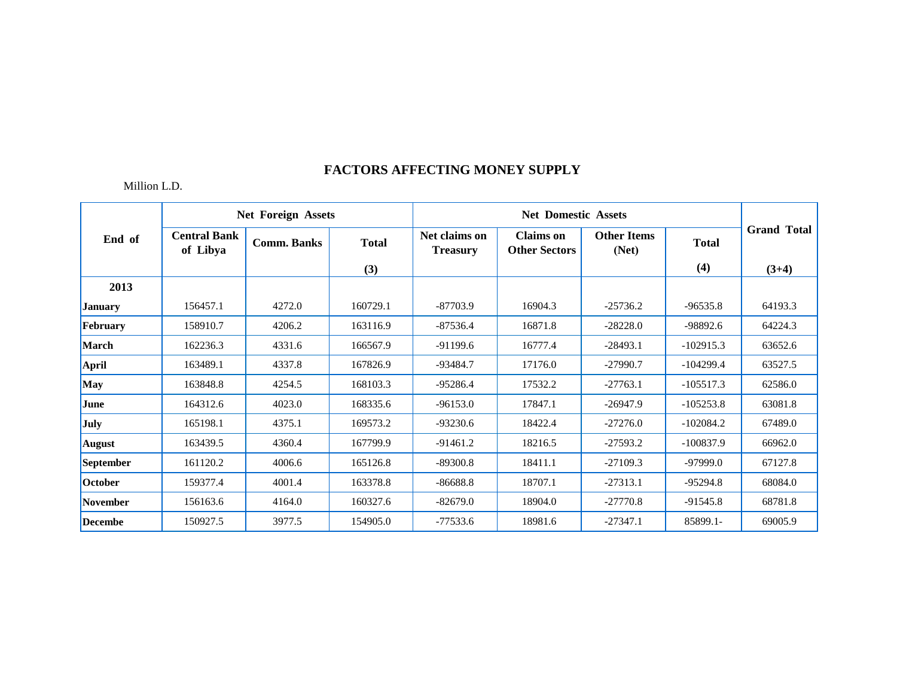|                 |                                 | <b>Net Foreign Assets</b> |              |                                  | <b>Net Domestic Assets</b>               |                             |              |                    |
|-----------------|---------------------------------|---------------------------|--------------|----------------------------------|------------------------------------------|-----------------------------|--------------|--------------------|
| End of          | <b>Central Bank</b><br>of Libya | <b>Comm. Banks</b>        | <b>Total</b> | Net claims on<br><b>Treasury</b> | <b>Claims</b> on<br><b>Other Sectors</b> | <b>Other Items</b><br>(Net) | <b>Total</b> | <b>Grand Total</b> |
|                 |                                 |                           | (3)          |                                  |                                          |                             | (4)          | $(3+4)$            |
| 2013            |                                 |                           |              |                                  |                                          |                             |              |                    |
| <b>January</b>  | 156457.1                        | 4272.0                    | 160729.1     | $-87703.9$                       | 16904.3                                  | $-25736.2$                  | $-96535.8$   | 64193.3            |
| February        | 158910.7                        | 4206.2                    | 163116.9     | $-87536.4$                       | 16871.8                                  | $-28228.0$                  | $-98892.6$   | 64224.3            |
| <b>March</b>    | 162236.3                        | 4331.6                    | 166567.9     | $-91199.6$                       | 16777.4                                  | $-28493.1$                  | $-102915.3$  | 63652.6            |
| <b>April</b>    | 163489.1                        | 4337.8                    | 167826.9     | $-93484.7$                       | 17176.0                                  | $-27990.7$                  | $-104299.4$  | 63527.5            |
| <b>May</b>      | 163848.8                        | 4254.5                    | 168103.3     | $-95286.4$                       | 17532.2                                  | $-27763.1$                  | $-105517.3$  | 62586.0            |
| June            | 164312.6                        | 4023.0                    | 168335.6     | $-96153.0$                       | 17847.1                                  | $-26947.9$                  | $-105253.8$  | 63081.8            |
| July            | 165198.1                        | 4375.1                    | 169573.2     | $-93230.6$                       | 18422.4                                  | $-27276.0$                  | $-102084.2$  | 67489.0            |
| <b>August</b>   | 163439.5                        | 4360.4                    | 167799.9     | $-91461.2$                       | 18216.5                                  | $-27593.2$                  | $-100837.9$  | 66962.0            |
| September       | 161120.2                        | 4006.6                    | 165126.8     | $-89300.8$                       | 18411.1                                  | $-27109.3$                  | $-97999.0$   | 67127.8            |
| October         | 159377.4                        | 4001.4                    | 163378.8     | $-86688.8$                       | 18707.1                                  | $-27313.1$                  | $-95294.8$   | 68084.0            |
| <b>November</b> | 156163.6                        | 4164.0                    | 160327.6     | $-82679.0$                       | 18904.0                                  | $-27770.8$                  | $-91545.8$   | 68781.8            |
| <b>Decembe</b>  | 150927.5                        | 3977.5                    | 154905.0     | $-77533.6$                       | 18981.6                                  | $-27347.1$                  | 85899.1-     | 69005.9            |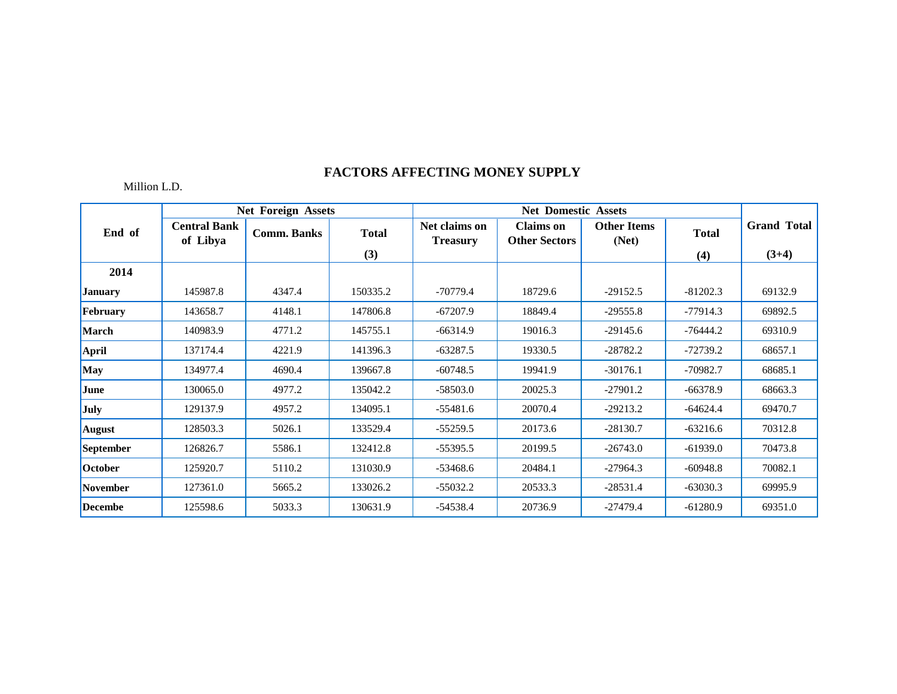|                 |                                 | <b>Net Foreign Assets</b> |              |                                  | <b>Net Domestic Assets</b>               |                             |              |                    |
|-----------------|---------------------------------|---------------------------|--------------|----------------------------------|------------------------------------------|-----------------------------|--------------|--------------------|
| End of          | <b>Central Bank</b><br>of Libya | <b>Comm. Banks</b>        | <b>Total</b> | Net claims on<br><b>Treasury</b> | <b>Claims</b> on<br><b>Other Sectors</b> | <b>Other Items</b><br>(Net) | <b>Total</b> | <b>Grand Total</b> |
|                 |                                 |                           | (3)          |                                  |                                          |                             | (4)          | $(3+4)$            |
| 2014            |                                 |                           |              |                                  |                                          |                             |              |                    |
| <b>January</b>  | 145987.8                        | 4347.4                    | 150335.2     | $-70779.4$                       | 18729.6                                  | $-29152.5$                  | $-81202.3$   | 69132.9            |
| February        | 143658.7                        | 4148.1                    | 147806.8     | $-67207.9$                       | 18849.4                                  | $-29555.8$                  | $-77914.3$   | 69892.5            |
| <b>March</b>    | 140983.9                        | 4771.2                    | 145755.1     | $-66314.9$                       | 19016.3                                  | $-29145.6$                  | $-76444.2$   | 69310.9            |
| April           | 137174.4                        | 4221.9                    | 141396.3     | $-63287.5$                       | 19330.5                                  | $-28782.2$                  | $-72739.2$   | 68657.1            |
| <b>May</b>      | 134977.4                        | 4690.4                    | 139667.8     | $-60748.5$                       | 19941.9                                  | $-30176.1$                  | $-70982.7$   | 68685.1            |
| June            | 130065.0                        | 4977.2                    | 135042.2     | $-58503.0$                       | 20025.3                                  | $-27901.2$                  | $-66378.9$   | 68663.3            |
| July            | 129137.9                        | 4957.2                    | 134095.1     | $-55481.6$                       | 20070.4                                  | $-29213.2$                  | $-64624.4$   | 69470.7            |
| <b>August</b>   | 128503.3                        | 5026.1                    | 133529.4     | $-55259.5$                       | 20173.6                                  | $-28130.7$                  | $-63216.6$   | 70312.8            |
| September       | 126826.7                        | 5586.1                    | 132412.8     | $-55395.5$                       | 20199.5                                  | $-26743.0$                  | $-61939.0$   | 70473.8            |
| October         | 125920.7                        | 5110.2                    | 131030.9     | $-53468.6$                       | 20484.1                                  | $-27964.3$                  | $-60948.8$   | 70082.1            |
| <b>November</b> | 127361.0                        | 5665.2                    | 133026.2     | $-55032.2$                       | 20533.3                                  | $-28531.4$                  | $-63030.3$   | 69995.9            |
| <b>Decembe</b>  | 125598.6                        | 5033.3                    | 130631.9     | $-54538.4$                       | 20736.9                                  | $-27479.4$                  | $-61280.9$   | 69351.0            |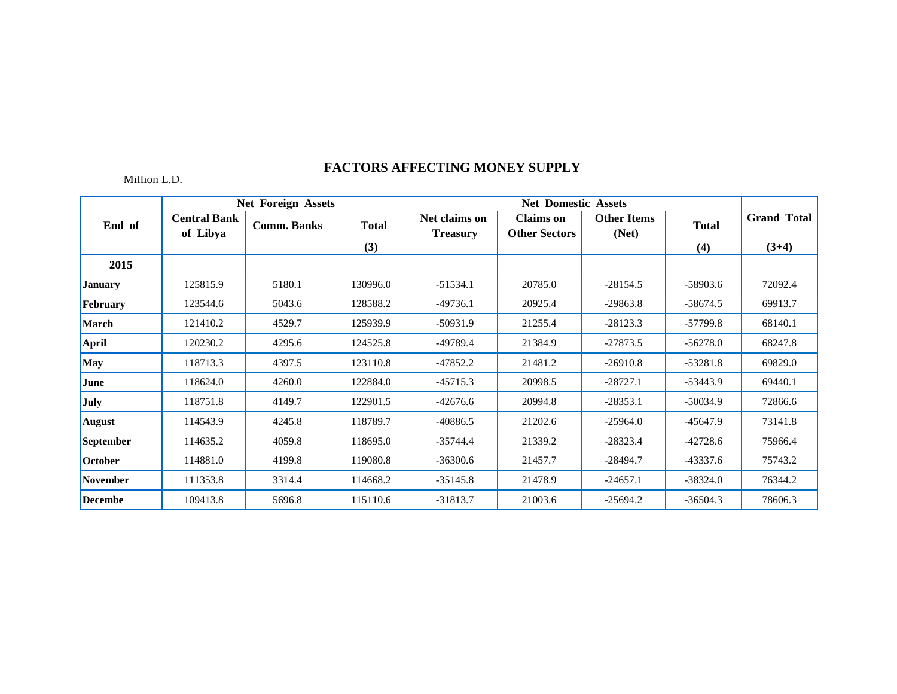|                 |                                 | <b>Net Foreign Assets</b> |              |                                  | <b>Net Domestic Assets</b>               |                             |              |                    |
|-----------------|---------------------------------|---------------------------|--------------|----------------------------------|------------------------------------------|-----------------------------|--------------|--------------------|
| End of          | <b>Central Bank</b><br>of Libya | <b>Comm. Banks</b>        | <b>Total</b> | Net claims on<br><b>Treasury</b> | <b>Claims</b> on<br><b>Other Sectors</b> | <b>Other Items</b><br>(Net) | <b>Total</b> | <b>Grand Total</b> |
|                 |                                 |                           | (3)          |                                  |                                          |                             | (4)          | $(3+4)$            |
| 2015            |                                 |                           |              |                                  |                                          |                             |              |                    |
| <b>January</b>  | 125815.9                        | 5180.1                    | 130996.0     | $-51534.1$                       | 20785.0                                  | $-28154.5$                  | $-58903.6$   | 72092.4            |
| February        | 123544.6                        | 5043.6                    | 128588.2     | $-49736.1$                       | 20925.4                                  | $-29863.8$                  | $-58674.5$   | 69913.7            |
| <b>March</b>    | 121410.2                        | 4529.7                    | 125939.9     | $-50931.9$                       | 21255.4                                  | $-28123.3$                  | $-57799.8$   | 68140.1            |
| <b>April</b>    | 120230.2                        | 4295.6                    | 124525.8     | -49789.4                         | 21384.9                                  | $-27873.5$                  | $-56278.0$   | 68247.8            |
| May             | 118713.3                        | 4397.5                    | 123110.8     | $-47852.2$                       | 21481.2                                  | $-26910.8$                  | $-53281.8$   | 69829.0            |
| June            | 118624.0                        | 4260.0                    | 122884.0     | $-45715.3$                       | 20998.5                                  | $-28727.1$                  | $-53443.9$   | 69440.1            |
| July            | 118751.8                        | 4149.7                    | 122901.5     | $-42676.6$                       | 20994.8                                  | $-28353.1$                  | $-50034.9$   | 72866.6            |
| <b>August</b>   | 114543.9                        | 4245.8                    | 118789.7     | $-40886.5$                       | 21202.6                                  | $-25964.0$                  | $-45647.9$   | 73141.8            |
| September       | 114635.2                        | 4059.8                    | 118695.0     | $-35744.4$                       | 21339.2                                  | $-28323.4$                  | $-42728.6$   | 75966.4            |
| October         | 114881.0                        | 4199.8                    | 119080.8     | $-36300.6$                       | 21457.7                                  | $-28494.7$                  | $-43337.6$   | 75743.2            |
| <b>November</b> | 111353.8                        | 3314.4                    | 114668.2     | $-35145.8$                       | 21478.9                                  | $-24657.1$                  | $-38324.0$   | 76344.2            |
| Decembe         | 109413.8                        | 5696.8                    | 115110.6     | $-31813.7$                       | 21003.6                                  | $-25694.2$                  | $-36504.3$   | 78606.3            |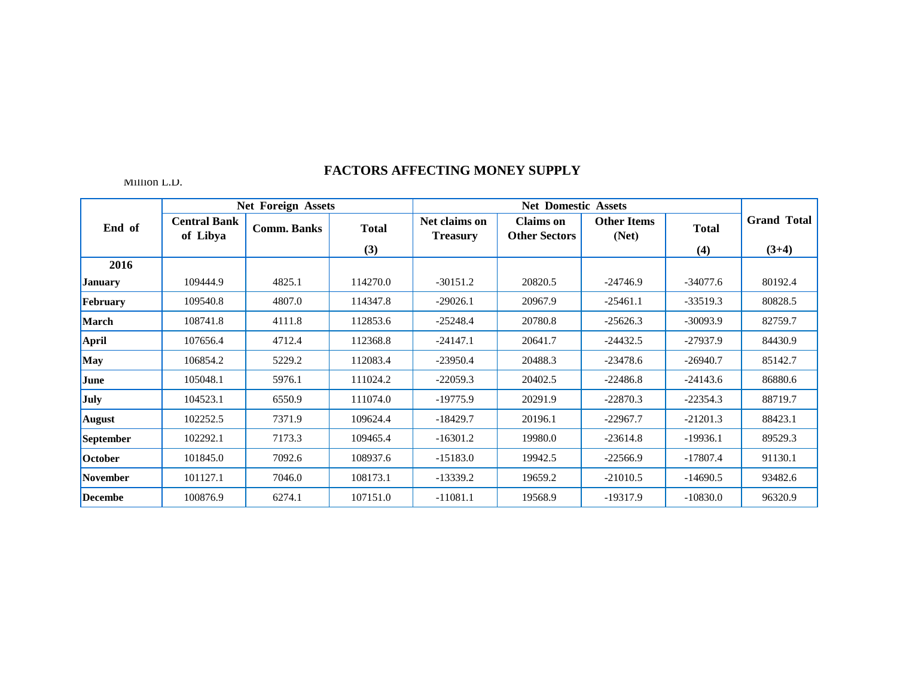|                 |                                 | <b>Net Foreign Assets</b> |                     |                                  | <b>Net Domestic Assets</b>               |                             |                     |                               |
|-----------------|---------------------------------|---------------------------|---------------------|----------------------------------|------------------------------------------|-----------------------------|---------------------|-------------------------------|
| End of          | <b>Central Bank</b><br>of Libya | <b>Comm. Banks</b>        | <b>Total</b><br>(3) | Net claims on<br><b>Treasury</b> | <b>Claims</b> on<br><b>Other Sectors</b> | <b>Other Items</b><br>(Net) | <b>Total</b><br>(4) | <b>Grand Total</b><br>$(3+4)$ |
| 2016            |                                 |                           |                     |                                  |                                          |                             |                     |                               |
| <b>January</b>  | 109444.9                        | 4825.1                    | 114270.0            | $-30151.2$                       | 20820.5                                  | $-24746.9$                  | $-34077.6$          | 80192.4                       |
| February        | 109540.8                        | 4807.0                    | 114347.8            | $-29026.1$                       | 20967.9                                  | $-25461.1$                  | $-33519.3$          | 80828.5                       |
| <b>March</b>    | 108741.8                        | 4111.8                    | 112853.6            | $-25248.4$                       | 20780.8                                  | $-25626.3$                  | $-30093.9$          | 82759.7                       |
| <b>April</b>    | 107656.4                        | 4712.4                    | 112368.8            | $-24147.1$                       | 20641.7                                  | $-24432.5$                  | $-27937.9$          | 84430.9                       |
| <b>May</b>      | 106854.2                        | 5229.2                    | 112083.4            | $-23950.4$                       | 20488.3                                  | $-23478.6$                  | $-26940.7$          | 85142.7                       |
| June            | 105048.1                        | 5976.1                    | 111024.2            | $-22059.3$                       | 20402.5                                  | $-22486.8$                  | $-24143.6$          | 86880.6                       |
| July            | 104523.1                        | 6550.9                    | 111074.0            | $-19775.9$                       | 20291.9                                  | $-22870.3$                  | $-22354.3$          | 88719.7                       |
| <b>August</b>   | 102252.5                        | 7371.9                    | 109624.4            | $-18429.7$                       | 20196.1                                  | $-22967.7$                  | $-21201.3$          | 88423.1                       |
| September       | 102292.1                        | 7173.3                    | 109465.4            | $-16301.2$                       | 19980.0                                  | $-23614.8$                  | $-19936.1$          | 89529.3                       |
| <b>October</b>  | 101845.0                        | 7092.6                    | 108937.6            | $-15183.0$                       | 19942.5                                  | $-22566.9$                  | $-17807.4$          | 91130.1                       |
| <b>November</b> | 101127.1                        | 7046.0                    | 108173.1            | $-13339.2$                       | 19659.2                                  | $-21010.5$                  | $-14690.5$          | 93482.6                       |
| <b>Decembe</b>  | 100876.9                        | 6274.1                    | 107151.0            | $-11081.1$                       | 19568.9                                  | $-19317.9$                  | $-10830.0$          | 96320.9                       |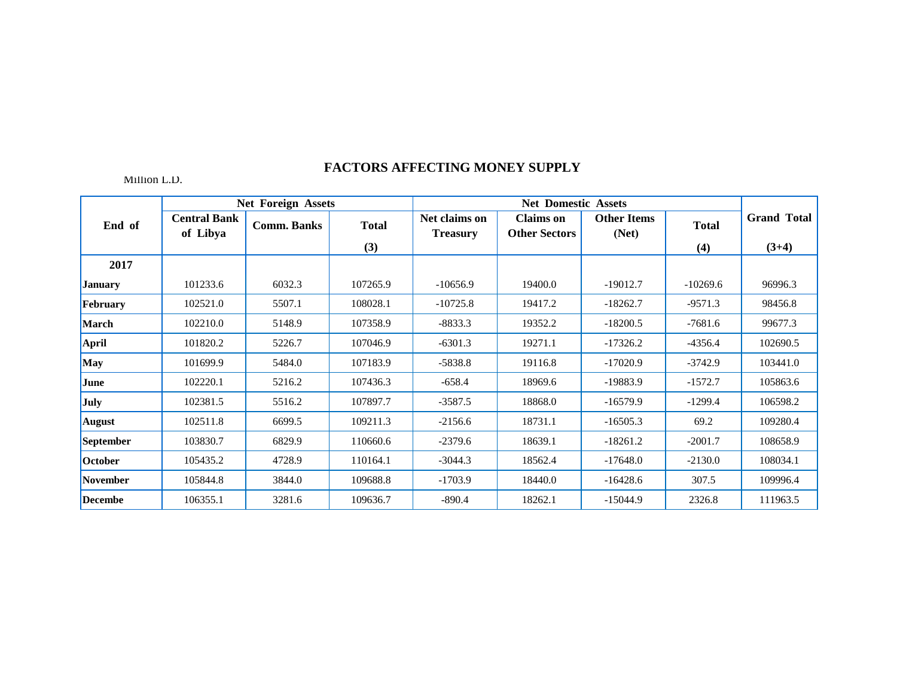|                 |                                 | <b>Net Foreign Assets</b> |              |                                  | <b>Net Domestic Assets</b>               |                             |              |                    |
|-----------------|---------------------------------|---------------------------|--------------|----------------------------------|------------------------------------------|-----------------------------|--------------|--------------------|
| End of          | <b>Central Bank</b><br>of Libya | <b>Comm. Banks</b>        | <b>Total</b> | Net claims on<br><b>Treasury</b> | <b>Claims</b> on<br><b>Other Sectors</b> | <b>Other Items</b><br>(Net) | <b>Total</b> | <b>Grand Total</b> |
|                 |                                 |                           | (3)          |                                  |                                          |                             | (4)          | $(3+4)$            |
| 2017            |                                 |                           |              |                                  |                                          |                             |              |                    |
| <b>January</b>  | 101233.6                        | 6032.3                    | 107265.9     | $-10656.9$                       | 19400.0                                  | $-19012.7$                  | $-10269.6$   | 96996.3            |
| February        | 102521.0                        | 5507.1                    | 108028.1     | $-10725.8$                       | 19417.2                                  | $-18262.7$                  | $-9571.3$    | 98456.8            |
| <b>March</b>    | 102210.0                        | 5148.9                    | 107358.9     | $-8833.3$                        | 19352.2                                  | $-18200.5$                  | $-7681.6$    | 99677.3            |
| April           | 101820.2                        | 5226.7                    | 107046.9     | $-6301.3$                        | 19271.1                                  | $-17326.2$                  | $-4356.4$    | 102690.5           |
| May             | 101699.9                        | 5484.0                    | 107183.9     | $-5838.8$                        | 19116.8                                  | $-17020.9$                  | $-3742.9$    | 103441.0           |
| June            | 102220.1                        | 5216.2                    | 107436.3     | $-658.4$                         | 18969.6                                  | $-19883.9$                  | $-1572.7$    | 105863.6           |
| July            | 102381.5                        | 5516.2                    | 107897.7     | $-3587.5$                        | 18868.0                                  | $-16579.9$                  | $-1299.4$    | 106598.2           |
| <b>August</b>   | 102511.8                        | 6699.5                    | 109211.3     | $-2156.6$                        | 18731.1                                  | $-16505.3$                  | 69.2         | 109280.4           |
| September       | 103830.7                        | 6829.9                    | 110660.6     | $-2379.6$                        | 18639.1                                  | $-18261.2$                  | $-2001.7$    | 108658.9           |
| October         | 105435.2                        | 4728.9                    | 110164.1     | $-3044.3$                        | 18562.4                                  | $-17648.0$                  | $-2130.0$    | 108034.1           |
| <b>November</b> | 105844.8                        | 3844.0                    | 109688.8     | $-1703.9$                        | 18440.0                                  | $-16428.6$                  | 307.5        | 109996.4           |
| <b>Decembe</b>  | 106355.1                        | 3281.6                    | 109636.7     | $-890.4$                         | 18262.1                                  | $-15044.9$                  | 2326.8       | 111963.5           |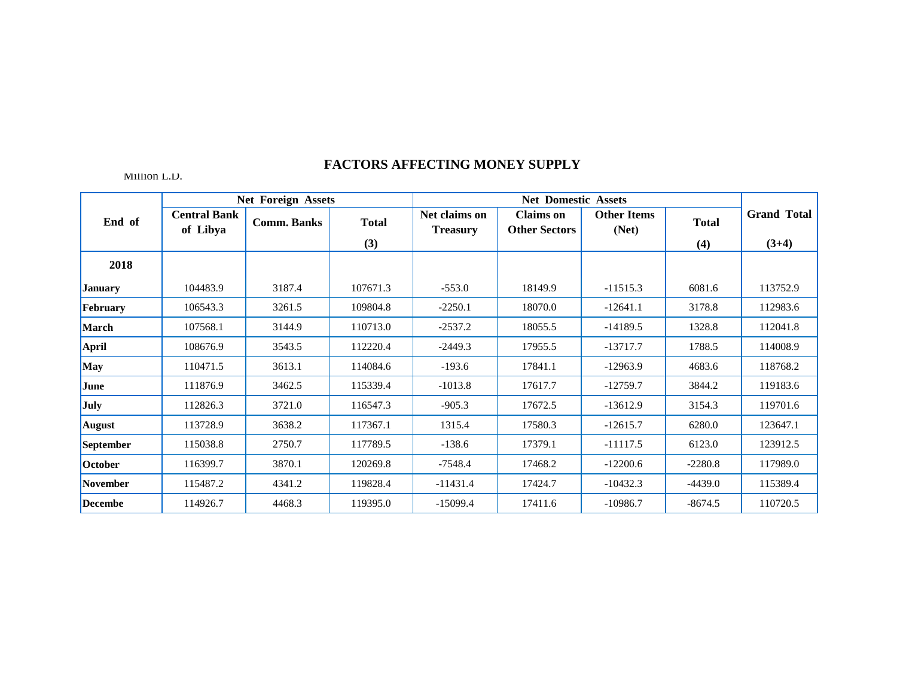|                 |                                 | <b>Net Foreign Assets</b> |              |                                  | <b>Net Domestic Assets</b>               |                             |              |                    |
|-----------------|---------------------------------|---------------------------|--------------|----------------------------------|------------------------------------------|-----------------------------|--------------|--------------------|
| End of          | <b>Central Bank</b><br>of Libya | <b>Comm. Banks</b>        | <b>Total</b> | Net claims on<br><b>Treasury</b> | <b>Claims</b> on<br><b>Other Sectors</b> | <b>Other Items</b><br>(Net) | <b>Total</b> | <b>Grand Total</b> |
|                 |                                 |                           | (3)          |                                  |                                          |                             | (4)          | $(3+4)$            |
| 2018            |                                 |                           |              |                                  |                                          |                             |              |                    |
| <b>January</b>  | 104483.9                        | 3187.4                    | 107671.3     | $-553.0$                         | 18149.9                                  | $-11515.3$                  | 6081.6       | 113752.9           |
| February        | 106543.3                        | 3261.5                    | 109804.8     | $-2250.1$                        | 18070.0                                  | $-12641.1$                  | 3178.8       | 112983.6           |
| <b>March</b>    | 107568.1                        | 3144.9                    | 110713.0     | $-2537.2$                        | 18055.5                                  | $-14189.5$                  | 1328.8       | 112041.8           |
| <b>April</b>    | 108676.9                        | 3543.5                    | 112220.4     | $-2449.3$                        | 17955.5                                  | $-13717.7$                  | 1788.5       | 114008.9           |
| May             | 110471.5                        | 3613.1                    | 114084.6     | $-193.6$                         | 17841.1                                  | $-12963.9$                  | 4683.6       | 118768.2           |
| June            | 111876.9                        | 3462.5                    | 115339.4     | $-1013.8$                        | 17617.7                                  | $-12759.7$                  | 3844.2       | 119183.6           |
| July            | 112826.3                        | 3721.0                    | 116547.3     | $-905.3$                         | 17672.5                                  | $-13612.9$                  | 3154.3       | 119701.6           |
| <b>August</b>   | 113728.9                        | 3638.2                    | 117367.1     | 1315.4                           | 17580.3                                  | $-12615.7$                  | 6280.0       | 123647.1           |
| September       | 115038.8                        | 2750.7                    | 117789.5     | $-138.6$                         | 17379.1                                  | $-11117.5$                  | 6123.0       | 123912.5           |
| October         | 116399.7                        | 3870.1                    | 120269.8     | -7548.4                          | 17468.2                                  | $-12200.6$                  | $-2280.8$    | 117989.0           |
| <b>November</b> | 115487.2                        | 4341.2                    | 119828.4     | $-11431.4$                       | 17424.7                                  | $-10432.3$                  | $-4439.0$    | 115389.4           |
| <b>Decembe</b>  | 114926.7                        | 4468.3                    | 119395.0     | $-15099.4$                       | 17411.6                                  | $-10986.7$                  | $-8674.5$    | 110720.5           |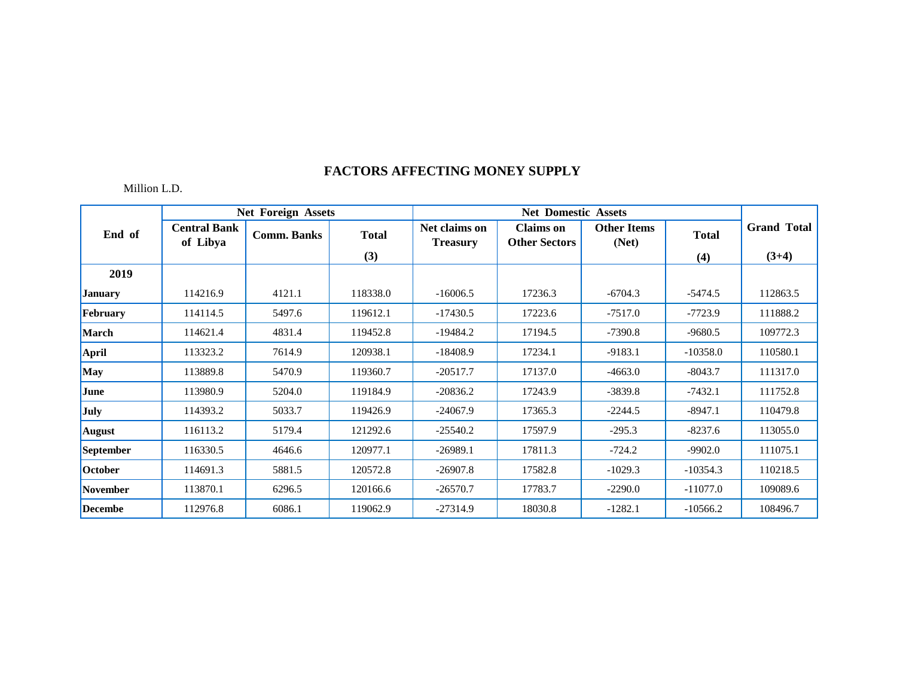|                 |                                 | <b>Net Foreign Assets</b> |              |                                  | <b>Net Domestic Assets</b>               |                             |              |                    |
|-----------------|---------------------------------|---------------------------|--------------|----------------------------------|------------------------------------------|-----------------------------|--------------|--------------------|
| End of          | <b>Central Bank</b><br>of Libya | <b>Comm. Banks</b>        | <b>Total</b> | Net claims on<br><b>Treasury</b> | <b>Claims</b> on<br><b>Other Sectors</b> | <b>Other Items</b><br>(Net) | <b>Total</b> | <b>Grand Total</b> |
|                 |                                 |                           | (3)          |                                  |                                          |                             | (4)          | $(3+4)$            |
| 2019            |                                 |                           |              |                                  |                                          |                             |              |                    |
| <b>January</b>  | 114216.9                        | 4121.1                    | 118338.0     | $-16006.5$                       | 17236.3                                  | $-6704.3$                   | $-5474.5$    | 112863.5           |
| February        | 114114.5                        | 5497.6                    | 119612.1     | $-17430.5$                       | 17223.6                                  | $-7517.0$                   | $-7723.9$    | 111888.2           |
| <b>March</b>    | 114621.4                        | 4831.4                    | 119452.8     | $-19484.2$                       | 17194.5                                  | $-7390.8$                   | $-9680.5$    | 109772.3           |
| April           | 113323.2                        | 7614.9                    | 120938.1     | $-18408.9$                       | 17234.1                                  | $-9183.1$                   | $-10358.0$   | 110580.1           |
| May             | 113889.8                        | 5470.9                    | 119360.7     | $-20517.7$                       | 17137.0                                  | $-4663.0$                   | $-8043.7$    | 111317.0           |
| June            | 113980.9                        | 5204.0                    | 119184.9     | $-20836.2$                       | 17243.9                                  | $-3839.8$                   | $-7432.1$    | 111752.8           |
| July            | 114393.2                        | 5033.7                    | 119426.9     | $-24067.9$                       | 17365.3                                  | $-2244.5$                   | $-8947.1$    | 110479.8           |
| <b>August</b>   | 116113.2                        | 5179.4                    | 121292.6     | $-25540.2$                       | 17597.9                                  | $-295.3$                    | $-8237.6$    | 113055.0           |
| September       | 116330.5                        | 4646.6                    | 120977.1     | $-26989.1$                       | 17811.3                                  | $-724.2$                    | $-9902.0$    | 111075.1           |
| October         | 114691.3                        | 5881.5                    | 120572.8     | $-26907.8$                       | 17582.8                                  | $-1029.3$                   | $-10354.3$   | 110218.5           |
| <b>November</b> | 113870.1                        | 6296.5                    | 120166.6     | $-26570.7$                       | 17783.7                                  | $-2290.0$                   | $-11077.0$   | 109089.6           |
| <b>Decembe</b>  | 112976.8                        | 6086.1                    | 119062.9     | $-27314.9$                       | 18030.8                                  | $-1282.1$                   | $-10566.2$   | 108496.7           |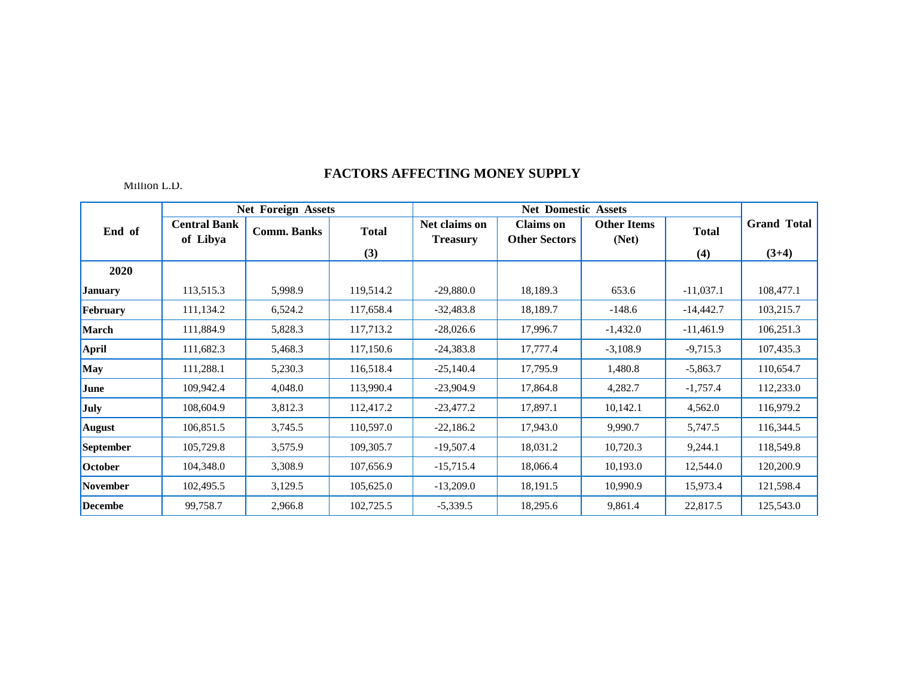|                 |                                 | <b>Net Foreign Assets</b> |              |                                  | <b>Net Domestic Assets</b>               |                             |              |                               |
|-----------------|---------------------------------|---------------------------|--------------|----------------------------------|------------------------------------------|-----------------------------|--------------|-------------------------------|
| End of          | <b>Central Bank</b><br>of Libya | <b>Comm. Banks</b>        | <b>Total</b> | Net claims on<br><b>Treasury</b> | <b>Claims</b> on<br><b>Other Sectors</b> | <b>Other Items</b><br>(Net) | <b>Total</b> | <b>Grand Total</b><br>$(3+4)$ |
|                 |                                 |                           | (3)          |                                  |                                          |                             | (4)          |                               |
| 2020            |                                 |                           |              |                                  |                                          |                             |              |                               |
| <b>January</b>  | 113,515.3                       | 5,998.9                   | 119,514.2    | $-29,880.0$                      | 18,189.3                                 | 653.6                       | $-11,037.1$  | 108,477.1                     |
| February        | 111,134.2                       | 6,524.2                   | 117,658.4    | $-32,483.8$                      | 18,189.7                                 | $-148.6$                    | $-14,442.7$  | 103,215.7                     |
| <b>March</b>    | 111,884.9                       | 5,828.3                   | 117,713.2    | $-28,026.6$                      | 17,996.7                                 | $-1,432.0$                  | $-11,461.9$  | 106,251.3                     |
| <b>April</b>    | 111,682.3                       | 5,468.3                   | 117,150.6    | $-24,383.8$                      | 17,777.4                                 | $-3,108.9$                  | $-9,715.3$   | 107,435.3                     |
| <b>May</b>      | 111,288.1                       | 5,230.3                   | 116,518.4    | $-25,140.4$                      | 17,795.9                                 | 1,480.8                     | $-5,863.7$   | 110,654.7                     |
| June            | 109,942.4                       | 4,048.0                   | 113,990.4    | $-23,904.9$                      | 17,864.8                                 | 4,282.7                     | $-1,757.4$   | 112,233.0                     |
| July            | 108,604.9                       | 3,812.3                   | 112,417.2    | $-23,477.2$                      | 17,897.1                                 | 10,142.1                    | 4,562.0      | 116,979.2                     |
| <b>August</b>   | 106,851.5                       | 3,745.5                   | 110,597.0    | $-22,186.2$                      | 17,943.0                                 | 9,990.7                     | 5,747.5      | 116,344.5                     |
| September       | 105,729.8                       | 3,575.9                   | 109,305.7    | $-19,507.4$                      | 18,031.2                                 | 10,720.3                    | 9,244.1      | 118,549.8                     |
| October         | 104,348.0                       | 3,308.9                   | 107,656.9    | $-15,715.4$                      | 18,066.4                                 | 10,193.0                    | 12,544.0     | 120,200.9                     |
| <b>November</b> | 102,495.5                       | 3,129.5                   | 105,625.0    | $-13,209.0$                      | 18,191.5                                 | 10,990.9                    | 15,973.4     | 121,598.4                     |
| <b>Decembe</b>  | 99,758.7                        | 2,966.8                   | 102,725.5    | $-5,339.5$                       | 18,295.6                                 | 9,861.4                     | 22,817.5     | 125,543.0                     |